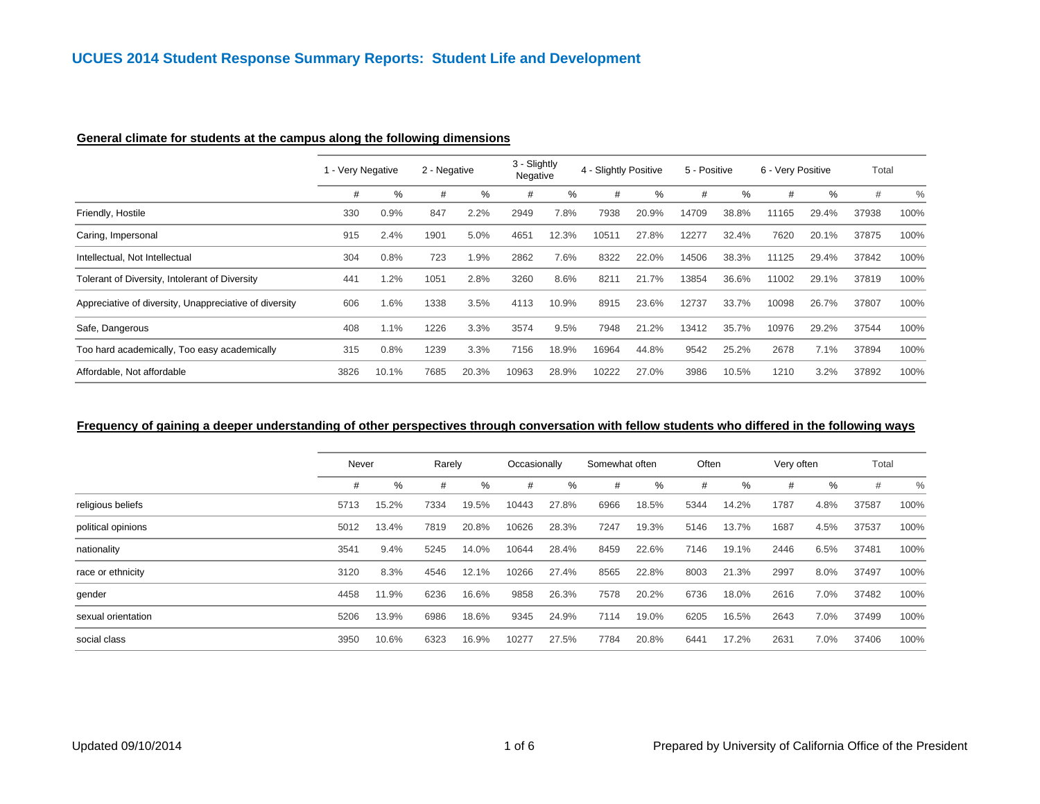## **General climate for students at the campus along the following dimensions**

|                                                        | 1 - Very Negative |       | 2 - Negative |       | 3 - Slightly<br>Negative |       | 4 - Slightly Positive |       | 5 - Positive |       | 6 - Very Positive |       | Total |      |
|--------------------------------------------------------|-------------------|-------|--------------|-------|--------------------------|-------|-----------------------|-------|--------------|-------|-------------------|-------|-------|------|
|                                                        | #                 | %     | #            | %     | #                        | ℅     | #                     | %     | #            | $\%$  | #                 | %     | #     | $\%$ |
| Friendly, Hostile                                      | 330               | 0.9%  | 847          | 2.2%  | 2949                     | 7.8%  | 7938                  | 20.9% | 14709        | 38.8% | 11165             | 29.4% | 37938 | 100% |
| Caring, Impersonal                                     | 915               | 2.4%  | 1901         | 5.0%  | 4651                     | 12.3% | 10511                 | 27.8% | 12277        | 32.4% | 7620              | 20.1% | 37875 | 100% |
| Intellectual, Not Intellectual                         | 304               | 0.8%  | 723          | 1.9%  | 2862                     | 7.6%  | 8322                  | 22.0% | 14506        | 38.3% | 11125             | 29.4% | 37842 | 100% |
| Tolerant of Diversity, Intolerant of Diversity         | 441               | .2%   | 1051         | 2.8%  | 3260                     | 8.6%  | 8211                  | 21.7% | 13854        | 36.6% | 11002             | 29.1% | 37819 | 100% |
| Appreciative of diversity, Unappreciative of diversity | 606               | .6%   | 1338         | 3.5%  | 4113                     | 10.9% | 8915                  | 23.6% | 12737        | 33.7% | 10098             | 26.7% | 37807 | 100% |
| Safe, Dangerous                                        | 408               | 1.1%  | 1226         | 3.3%  | 3574                     | 9.5%  | 7948                  | 21.2% | 13412        | 35.7% | 10976             | 29.2% | 37544 | 100% |
| Too hard academically, Too easy academically           | 315               | 0.8%  | 1239         | 3.3%  | 7156                     | 18.9% | 16964                 | 44.8% | 9542         | 25.2% | 2678              | 7.1%  | 37894 | 100% |
| Affordable, Not affordable                             | 3826              | 10.1% | 7685         | 20.3% | 10963                    | 28.9% | 10222                 | 27.0% | 3986         | 10.5% | 1210              | 3.2%  | 37892 | 100% |

#### **Frequency of gaining a deeper understanding of other perspectives through conversation with fellow students who differed in the following ways**

|                    | Never |       | Rarely |       | Occasionally |       | Somewhat often |       | Often |       | Very often |      | Total |      |
|--------------------|-------|-------|--------|-------|--------------|-------|----------------|-------|-------|-------|------------|------|-------|------|
|                    | #     | %     | #      | ℅     | #            | ℅     | #              | %     | #     | %     | #          | %    | $\#$  | $\%$ |
| religious beliefs  | 5713  | 15.2% | 7334   | 19.5% | 10443        | 27.8% | 6966           | 18.5% | 5344  | 14.2% | 1787       | 4.8% | 37587 | 100% |
| political opinions | 5012  | 13.4% | 7819   | 20.8% | 10626        | 28.3% | 7247           | 19.3% | 5146  | 13.7% | 1687       | 4.5% | 37537 | 100% |
| nationality        | 3541  | 9.4%  | 5245   | 14.0% | 10644        | 28.4% | 8459           | 22.6% | 7146  | 19.1% | 2446       | 6.5% | 37481 | 100% |
| race or ethnicity  | 3120  | 8.3%  | 4546   | 12.1% | 10266        | 27.4% | 8565           | 22.8% | 8003  | 21.3% | 2997       | 8.0% | 37497 | 100% |
| gender             | 4458  | 11.9% | 6236   | 16.6% | 9858         | 26.3% | 7578           | 20.2% | 6736  | 18.0% | 2616       | 7.0% | 37482 | 100% |
| sexual orientation | 5206  | 13.9% | 6986   | 18.6% | 9345         | 24.9% | 7114           | 19.0% | 6205  | 16.5% | 2643       | 7.0% | 37499 | 100% |
| social class       | 3950  | 10.6% | 6323   | 16.9% | 10277        | 27.5% | 7784           | 20.8% | 6441  | 17.2% | 2631       | 7.0% | 37406 | 100% |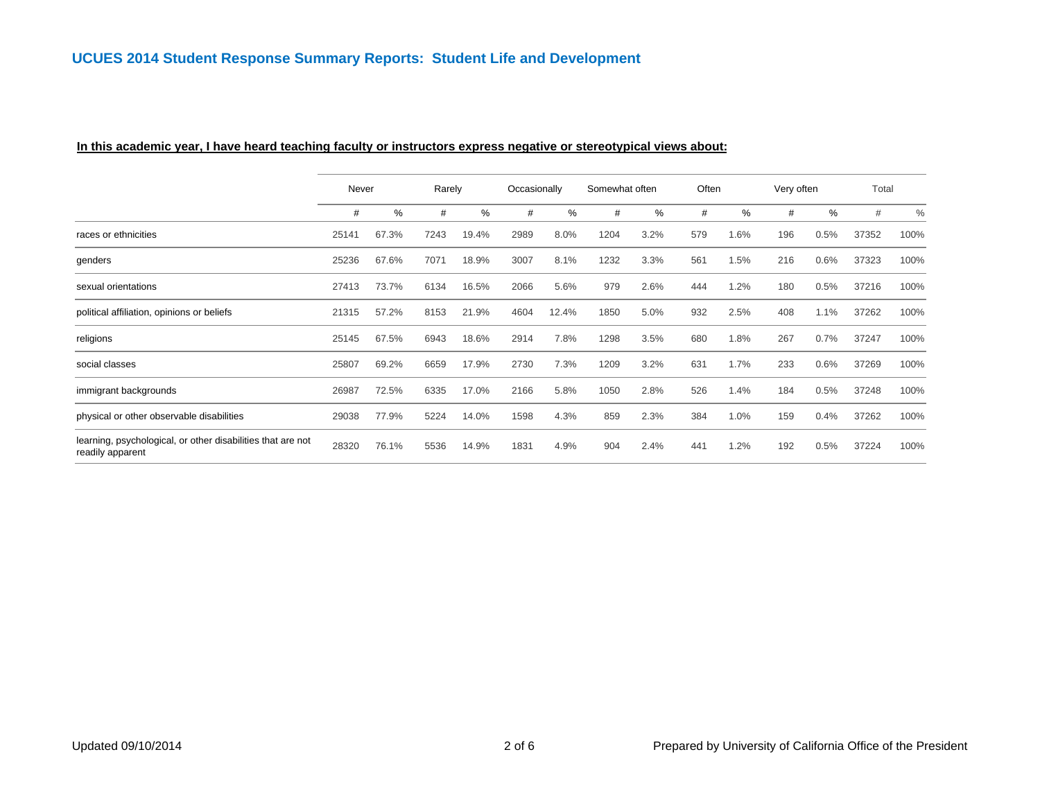#### **In this academic year, I have heard teaching faculty or instructors express negative or stereotypical views about:**

|                                                                                 | Never |       | Rarely |       | Occasionally |       | Somewhat often |      | Often |      | Very often |      | Total |               |
|---------------------------------------------------------------------------------|-------|-------|--------|-------|--------------|-------|----------------|------|-------|------|------------|------|-------|---------------|
|                                                                                 | #     | %     | #      | %     | #            | %     | #              | %    | #     | %    | #          | $\%$ | #     | $\frac{0}{0}$ |
| races or ethnicities                                                            | 25141 | 67.3% | 7243   | 19.4% | 2989         | 8.0%  | 1204           | 3.2% | 579   | 1.6% | 196        | 0.5% | 37352 | 100%          |
| genders                                                                         | 25236 | 67.6% | 7071   | 18.9% | 3007         | 8.1%  | 1232           | 3.3% | 561   | 1.5% | 216        | 0.6% | 37323 | 100%          |
| sexual orientations                                                             | 27413 | 73.7% | 6134   | 16.5% | 2066         | 5.6%  | 979            | 2.6% | 444   | 1.2% | 180        | 0.5% | 37216 | 100%          |
| political affiliation, opinions or beliefs                                      | 21315 | 57.2% | 8153   | 21.9% | 4604         | 12.4% | 1850           | 5.0% | 932   | 2.5% | 408        | 1.1% | 37262 | 100%          |
| religions                                                                       | 25145 | 67.5% | 6943   | 18.6% | 2914         | 7.8%  | 1298           | 3.5% | 680   | 1.8% | 267        | 0.7% | 37247 | 100%          |
| social classes                                                                  | 25807 | 69.2% | 6659   | 17.9% | 2730         | 7.3%  | 1209           | 3.2% | 631   | 1.7% | 233        | 0.6% | 37269 | 100%          |
| immigrant backgrounds                                                           | 26987 | 72.5% | 6335   | 17.0% | 2166         | 5.8%  | 1050           | 2.8% | 526   | 1.4% | 184        | 0.5% | 37248 | 100%          |
| physical or other observable disabilities                                       | 29038 | 77.9% | 5224   | 14.0% | 1598         | 4.3%  | 859            | 2.3% | 384   | 1.0% | 159        | 0.4% | 37262 | 100%          |
| learning, psychological, or other disabilities that are not<br>readily apparent | 28320 | 76.1% | 5536   | 14.9% | 1831         | 4.9%  | 904            | 2.4% | 441   | 1.2% | 192        | 0.5% | 37224 | 100%          |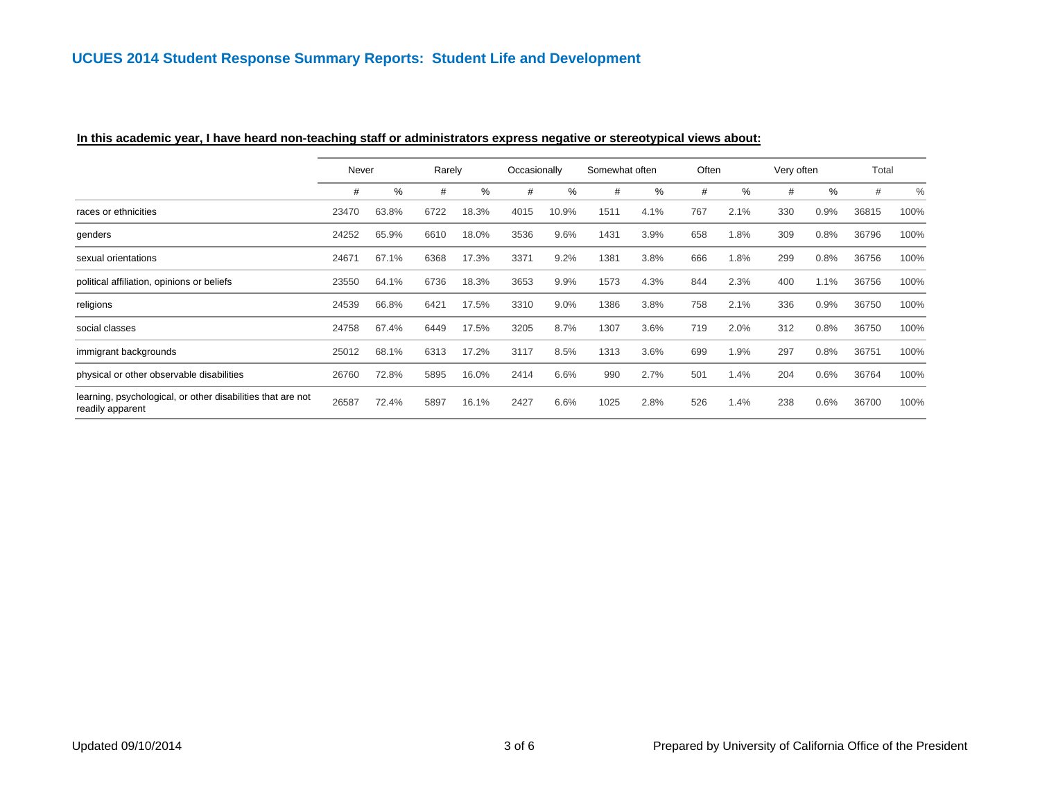|                                                                                 | Never |       | Rarely |       | Occasionally |       | Somewhat often |      | Often |      | Very often |      | Total |      |
|---------------------------------------------------------------------------------|-------|-------|--------|-------|--------------|-------|----------------|------|-------|------|------------|------|-------|------|
|                                                                                 | #     | %     | #      | %     | #            | %     | #              | %    | #     | $\%$ | #          | $\%$ | #     | $\%$ |
| races or ethnicities                                                            | 23470 | 63.8% | 6722   | 18.3% | 4015         | 10.9% | 1511           | 4.1% | 767   | 2.1% | 330        | 0.9% | 36815 | 100% |
| genders                                                                         | 24252 | 65.9% | 6610   | 18.0% | 3536         | 9.6%  | 1431           | 3.9% | 658   | 1.8% | 309        | 0.8% | 36796 | 100% |
| sexual orientations                                                             | 24671 | 67.1% | 6368   | 17.3% | 3371         | 9.2%  | 1381           | 3.8% | 666   | 1.8% | 299        | 0.8% | 36756 | 100% |
| political affiliation, opinions or beliefs                                      | 23550 | 64.1% | 6736   | 18.3% | 3653         | 9.9%  | 1573           | 4.3% | 844   | 2.3% | 400        | 1.1% | 36756 | 100% |
| religions                                                                       | 24539 | 66.8% | 6421   | 17.5% | 3310         | 9.0%  | 1386           | 3.8% | 758   | 2.1% | 336        | 0.9% | 36750 | 100% |
| social classes                                                                  | 24758 | 67.4% | 6449   | 17.5% | 3205         | 8.7%  | 1307           | 3.6% | 719   | 2.0% | 312        | 0.8% | 36750 | 100% |
| immigrant backgrounds                                                           | 25012 | 68.1% | 6313   | 17.2% | 3117         | 8.5%  | 1313           | 3.6% | 699   | 1.9% | 297        | 0.8% | 36751 | 100% |
| physical or other observable disabilities                                       | 26760 | 72.8% | 5895   | 16.0% | 2414         | 6.6%  | 990            | 2.7% | 501   | 1.4% | 204        | 0.6% | 36764 | 100% |
| learning, psychological, or other disabilities that are not<br>readily apparent | 26587 | 72.4% | 5897   | 16.1% | 2427         | 6.6%  | 1025           | 2.8% | 526   | 1.4% | 238        | 0.6% | 36700 | 100% |

## **In this academic year, I have heard non-teaching staff or administrators express negative or stereotypical views about:**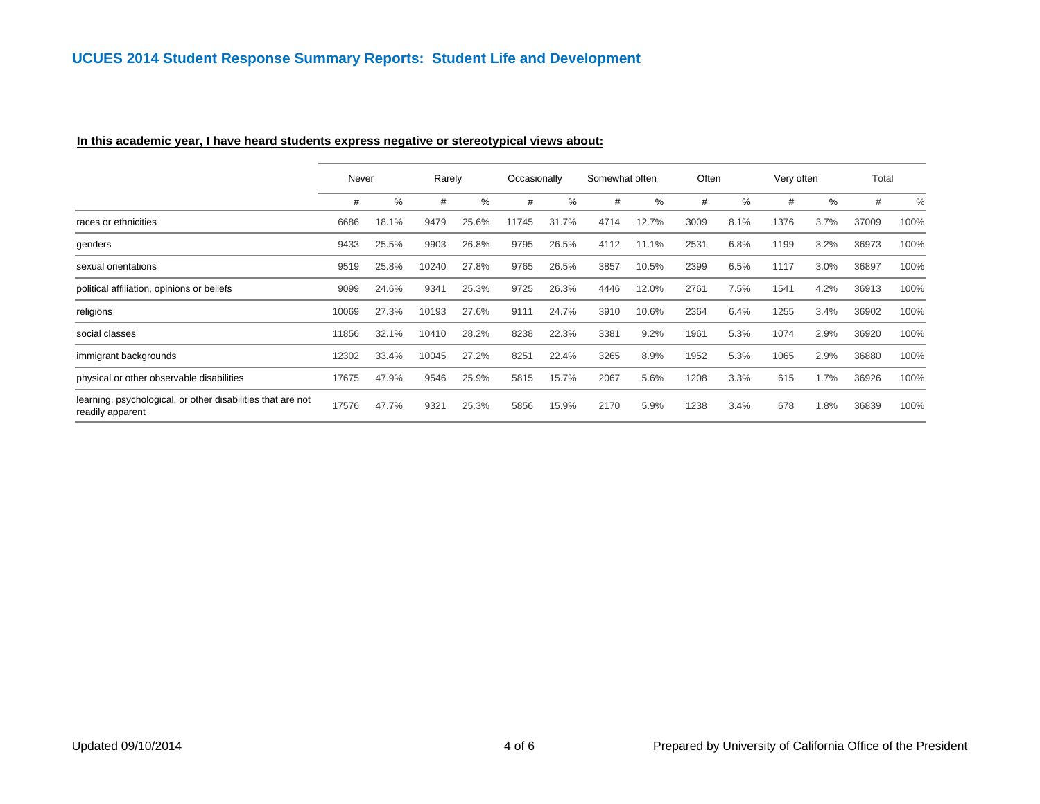#### **In this academic year, I have heard students express negative or stereotypical views about:**

|                                                                                 | Never |       | Rarely |       | Occasionally |       | Somewhat often |       | Often |      | Very often |      | Total |      |
|---------------------------------------------------------------------------------|-------|-------|--------|-------|--------------|-------|----------------|-------|-------|------|------------|------|-------|------|
|                                                                                 | #     | %     | #      | %     | #            | %     | #              | %     | #     | %    | #          | %    | #     | $\%$ |
| races or ethnicities                                                            | 6686  | 18.1% | 9479   | 25.6% | 11745        | 31.7% | 4714           | 12.7% | 3009  | 8.1% | 1376       | 3.7% | 37009 | 100% |
| genders                                                                         | 9433  | 25.5% | 9903   | 26.8% | 9795         | 26.5% | 4112           | 11.1% | 2531  | 6.8% | 1199       | 3.2% | 36973 | 100% |
| sexual orientations                                                             | 9519  | 25.8% | 10240  | 27.8% | 9765         | 26.5% | 3857           | 10.5% | 2399  | 6.5% | 1117       | 3.0% | 36897 | 100% |
| political affiliation, opinions or beliefs                                      | 9099  | 24.6% | 9341   | 25.3% | 9725         | 26.3% | 4446           | 12.0% | 2761  | 7.5% | 1541       | 4.2% | 36913 | 100% |
| religions                                                                       | 10069 | 27.3% | 10193  | 27.6% | 9111         | 24.7% | 3910           | 10.6% | 2364  | 6.4% | 1255       | 3.4% | 36902 | 100% |
| social classes                                                                  | 11856 | 32.1% | 10410  | 28.2% | 8238         | 22.3% | 3381           | 9.2%  | 1961  | 5.3% | 1074       | 2.9% | 36920 | 100% |
| immigrant backgrounds                                                           | 12302 | 33.4% | 10045  | 27.2% | 8251         | 22.4% | 3265           | 8.9%  | 1952  | 5.3% | 1065       | 2.9% | 36880 | 100% |
| physical or other observable disabilities                                       | 17675 | 47.9% | 9546   | 25.9% | 5815         | 15.7% | 2067           | 5.6%  | 1208  | 3.3% | 615        | 1.7% | 36926 | 100% |
| learning, psychological, or other disabilities that are not<br>readily apparent | 17576 | 47.7% | 9321   | 25.3% | 5856         | 15.9% | 2170           | 5.9%  | 1238  | 3.4% | 678        | 1.8% | 36839 | 100% |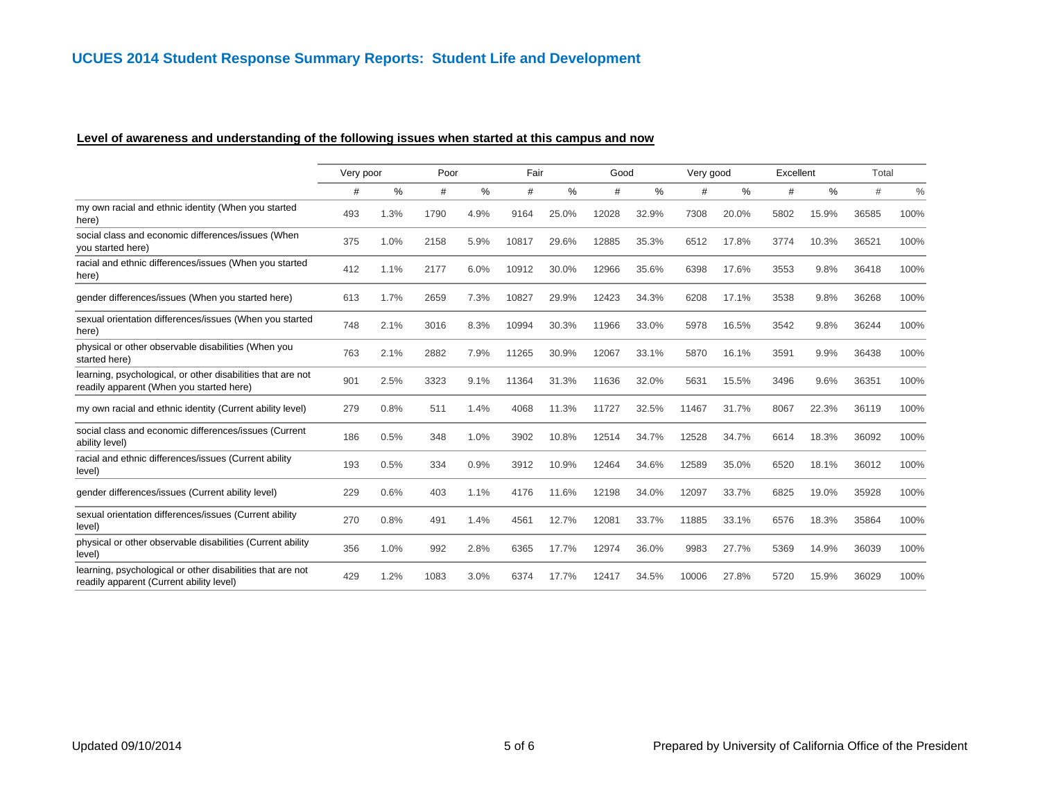#### **Level of awareness and understanding of the following issues when started at this campus and now**

|                                                                                                         | Very poor |      | Poor |      | Fair  |       | Good  |       | Very good |       | Excellent |       | Total |      |
|---------------------------------------------------------------------------------------------------------|-----------|------|------|------|-------|-------|-------|-------|-----------|-------|-----------|-------|-------|------|
|                                                                                                         | #         | %    | #    | %    | #     | %     | #     | %     | #         | ℅     | #         | %     | #     | $\%$ |
| my own racial and ethnic identity (When you started<br>here)                                            | 493       | 1.3% | 1790 | 4.9% | 9164  | 25.0% | 12028 | 32.9% | 7308      | 20.0% | 5802      | 15.9% | 36585 | 100% |
| social class and economic differences/issues (When<br>you started here)                                 | 375       | 1.0% | 2158 | 5.9% | 10817 | 29.6% | 12885 | 35.3% | 6512      | 17.8% | 3774      | 10.3% | 36521 | 100% |
| racial and ethnic differences/issues (When you started<br>here)                                         | 412       | 1.1% | 2177 | 6.0% | 10912 | 30.0% | 12966 | 35.6% | 6398      | 17.6% | 3553      | 9.8%  | 36418 | 100% |
| gender differences/issues (When you started here)                                                       | 613       | 1.7% | 2659 | 7.3% | 10827 | 29.9% | 12423 | 34.3% | 6208      | 17.1% | 3538      | 9.8%  | 36268 | 100% |
| sexual orientation differences/issues (When you started<br>here)                                        | 748       | 2.1% | 3016 | 8.3% | 10994 | 30.3% | 11966 | 33.0% | 5978      | 16.5% | 3542      | 9.8%  | 36244 | 100% |
| physical or other observable disabilities (When you<br>started here)                                    | 763       | 2.1% | 2882 | 7.9% | 11265 | 30.9% | 12067 | 33.1% | 5870      | 16.1% | 3591      | 9.9%  | 36438 | 100% |
| learning, psychological, or other disabilities that are not<br>readily apparent (When you started here) | 901       | 2.5% | 3323 | 9.1% | 11364 | 31.3% | 11636 | 32.0% | 5631      | 15.5% | 3496      | 9.6%  | 36351 | 100% |
| my own racial and ethnic identity (Current ability level)                                               | 279       | 0.8% | 511  | 1.4% | 4068  | 11.3% | 11727 | 32.5% | 11467     | 31.7% | 8067      | 22.3% | 36119 | 100% |
| social class and economic differences/issues (Current<br>ability level)                                 | 186       | 0.5% | 348  | 1.0% | 3902  | 10.8% | 12514 | 34.7% | 12528     | 34.7% | 6614      | 18.3% | 36092 | 100% |
| racial and ethnic differences/issues (Current ability<br>level)                                         | 193       | 0.5% | 334  | 0.9% | 3912  | 10.9% | 12464 | 34.6% | 12589     | 35.0% | 6520      | 18.1% | 36012 | 100% |
| gender differences/issues (Current ability level)                                                       | 229       | 0.6% | 403  | 1.1% | 4176  | 11.6% | 12198 | 34.0% | 12097     | 33.7% | 6825      | 19.0% | 35928 | 100% |
| sexual orientation differences/issues (Current ability<br>level)                                        | 270       | 0.8% | 491  | 1.4% | 4561  | 12.7% | 12081 | 33.7% | 11885     | 33.1% | 6576      | 18.3% | 35864 | 100% |
| physical or other observable disabilities (Current ability<br>level)                                    | 356       | 1.0% | 992  | 2.8% | 6365  | 17.7% | 12974 | 36.0% | 9983      | 27.7% | 5369      | 14.9% | 36039 | 100% |
| learning, psychological or other disabilities that are not<br>readily apparent (Current ability level)  | 429       | 1.2% | 1083 | 3.0% | 6374  | 17.7% | 12417 | 34.5% | 10006     | 27.8% | 5720      | 15.9% | 36029 | 100% |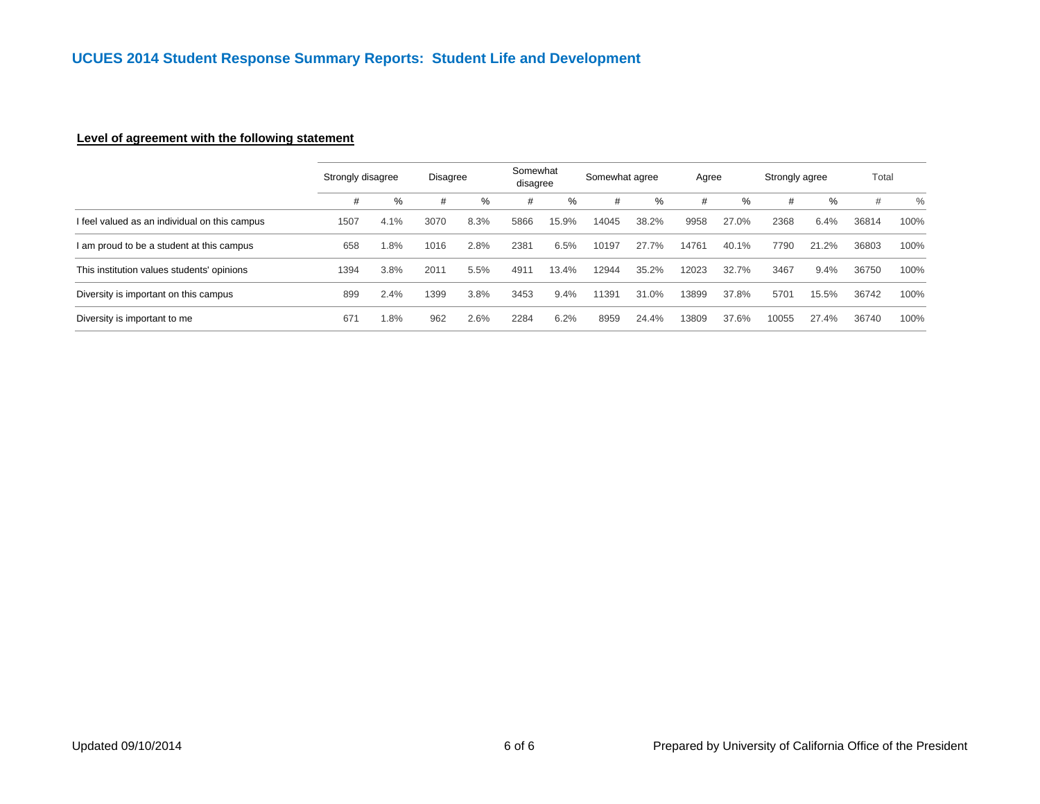## **Level of agreement with the following statement**

|                                               | Strongly disagree |         | <b>Disagree</b> |      | Somewhat<br>disagree |       | Somewhat agree |       | Agree |       | Strongly agree |       | Total |      |
|-----------------------------------------------|-------------------|---------|-----------------|------|----------------------|-------|----------------|-------|-------|-------|----------------|-------|-------|------|
|                                               | #                 | %       | #               | %    | #                    | %     | #              | %     | #     | %     | #              | %     | #     | $\%$ |
| I feel valued as an individual on this campus | 1507              | 4.1%    | 3070            | 8.3% | 5866                 | 15.9% | 14045          | 38.2% | 9958  | 27.0% | 2368           | 6.4%  | 36814 | 100% |
| I am proud to be a student at this campus     | 658               | $1.8\%$ | 1016            | 2.8% | 2381                 | 6.5%  | 10197          | 27.7% | 14761 | 40.1% | 7790           | 21.2% | 36803 | 100% |
| This institution values students' opinions    | 1394              | 3.8%    | 2011            | 5.5% | 4911                 | 13.4% | 12944          | 35.2% | 12023 | 32.7% | 3467           | 9.4%  | 36750 | 100% |
| Diversity is important on this campus         | 899               | 2.4%    | 1399            | 3.8% | 3453                 | 9.4%  | 11391          | 31.0% | 13899 | 37.8% | 5701           | 15.5% | 36742 | 100% |
| Diversity is important to me                  | 671               | .8%     | 962             | 2.6% | 2284                 | 6.2%  | 8959           | 24.4% | 13809 | 37.6% | 10055          | 27.4% | 36740 | 100% |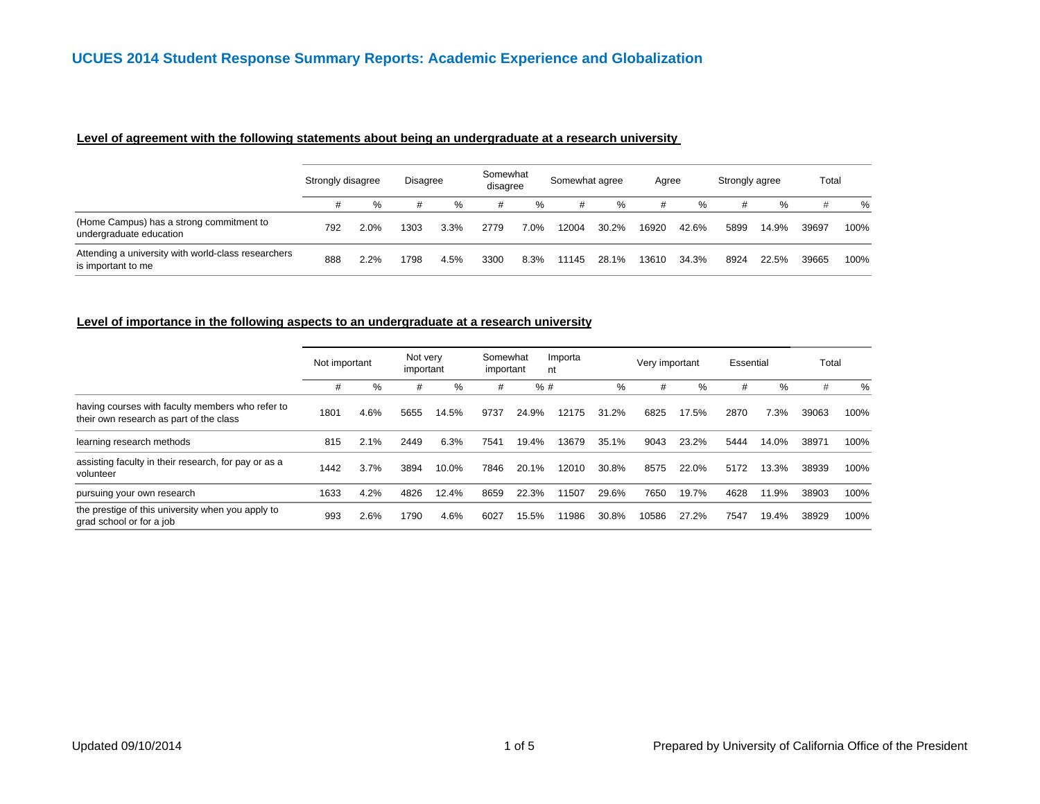#### **Level of agreement with the following statements about being an undergraduate at a research university**

|                                                                           | Strongly disagree |      | <b>Disagree</b> |      | Somewhat<br>disagree |         | Somewhat agree |       | Agree |       | Strongly agree |       | Total |      |
|---------------------------------------------------------------------------|-------------------|------|-----------------|------|----------------------|---------|----------------|-------|-------|-------|----------------|-------|-------|------|
|                                                                           | #                 | %    | #               | %    | #                    | ℅       | #              | %     | #     | %     |                | $\%$  | #     | %    |
| (Home Campus) has a strong commitment to<br>undergraduate education       | 792               | 2.0% | 1303            | 3.3% | 2779                 | $7.0\%$ | 12004          | 30.2% | 16920 | 42.6% | 5899           | 14.9% | 39697 | 100% |
| Attending a university with world-class researchers<br>is important to me | 888               | 2.2% | 1798            | 4.5% | 3300                 | 8.3%    | 11145          | 28.1% | 13610 | 34.3% | 8924           | 22.5% | 39665 | 100% |

#### **Level of importance in the following aspects to an undergraduate at a research university**

|                                                                                             | Not important |      | Not very<br>important |       | Somewhat<br>important |       | Importa<br>nt |       | Very important |       | Essential |       | Total |      |
|---------------------------------------------------------------------------------------------|---------------|------|-----------------------|-------|-----------------------|-------|---------------|-------|----------------|-------|-----------|-------|-------|------|
|                                                                                             | #             | %    | #                     | $\%$  | #                     | %#    |               | $\%$  | #              | %     | #         | %     | #     | %    |
| having courses with faculty members who refer to<br>their own research as part of the class | 1801          | 4.6% | 5655                  | 14.5% | 9737                  | 24.9% | 12175         | 31.2% | 6825           | 17.5% | 2870      | 7.3%  | 39063 | 100% |
| learning research methods                                                                   | 815           | 2.1% | 2449                  | 6.3%  | 7541                  | 19.4% | 13679         | 35.1% | 9043           | 23.2% | 5444      | 14.0% | 38971 | 100% |
| assisting faculty in their research, for pay or as a<br>volunteer                           | 1442          | 3.7% | 3894                  | 10.0% | 7846                  | 20.1% | 12010         | 30.8% | 8575           | 22.0% | 5172      | 13.3% | 38939 | 100% |
| pursuing your own research                                                                  | 1633          | 4.2% | 4826                  | 12.4% | 8659                  | 22.3% | 11507         | 29.6% | 7650           | 19.7% | 4628      | 11.9% | 38903 | 100% |
| the prestige of this university when you apply to<br>grad school or for a job               | 993           | 2.6% | 1790                  | 4.6%  | 6027                  | 15.5% | 11986         | 30.8% | 10586          | 27.2% | 7547      | 19.4% | 38929 | 100% |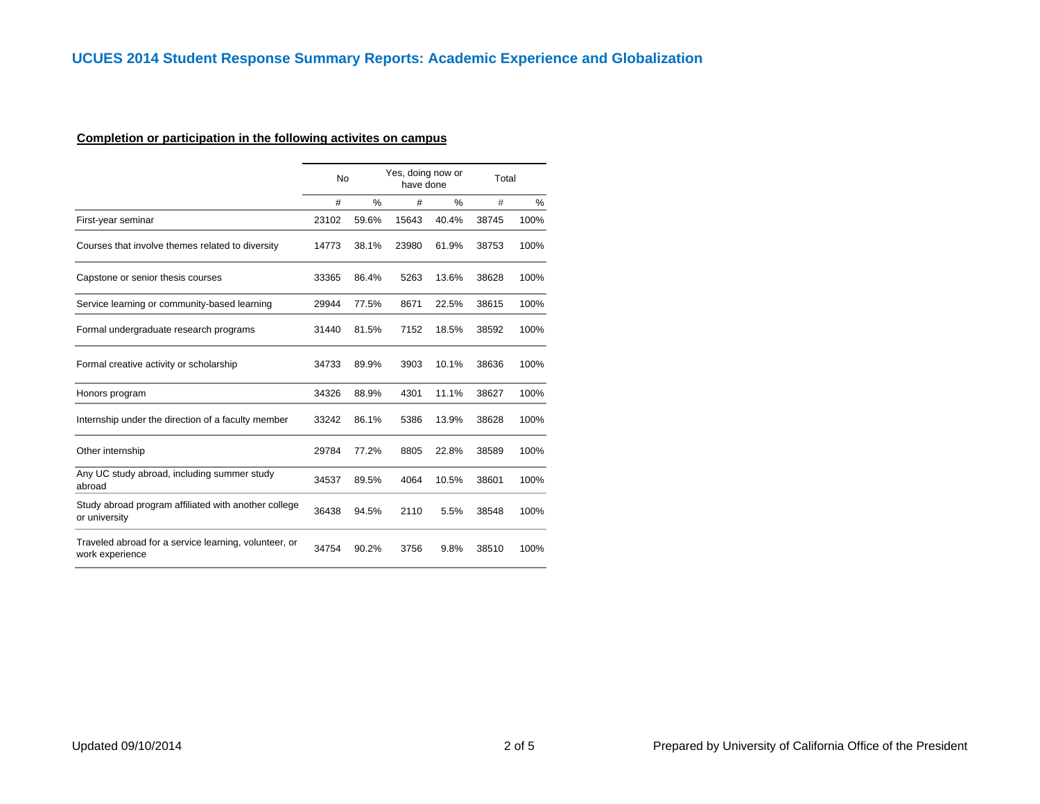# **Completion or participation in the following activites on campus**

| #     | $\%$  | #         | %     | #                              | $\%$  |
|-------|-------|-----------|-------|--------------------------------|-------|
| 23102 | 59.6% | 15643     | 40.4% | 38745                          | 100%  |
| 14773 | 38.1% | 23980     | 61.9% | 38753                          | 100%  |
| 33365 | 86.4% | 5263      | 13.6% | 38628                          | 100%  |
| 29944 | 77.5% | 8671      | 22.5% | 38615                          | 100%  |
| 31440 | 81.5% | 7152      | 18.5% | 38592                          | 100%  |
| 34733 | 89.9% | 3903      | 10.1% | 38636                          | 100%  |
| 34326 | 88.9% | 4301      | 11.1% | 38627                          | 100%  |
| 33242 | 86.1% | 5386      | 13.9% | 38628                          | 100%  |
| 29784 | 77.2% | 8805      | 22.8% | 38589                          | 100%  |
| 34537 | 89.5% | 4064      | 10.5% | 38601                          | 100%  |
| 36438 | 94.5% | 2110      | 5.5%  | 38548                          | 100%  |
| 34754 | 90.2% | 3756      | 9.8%  | 38510                          | 100%  |
|       |       | <b>No</b> |       | Yes, doing now or<br>have done | Total |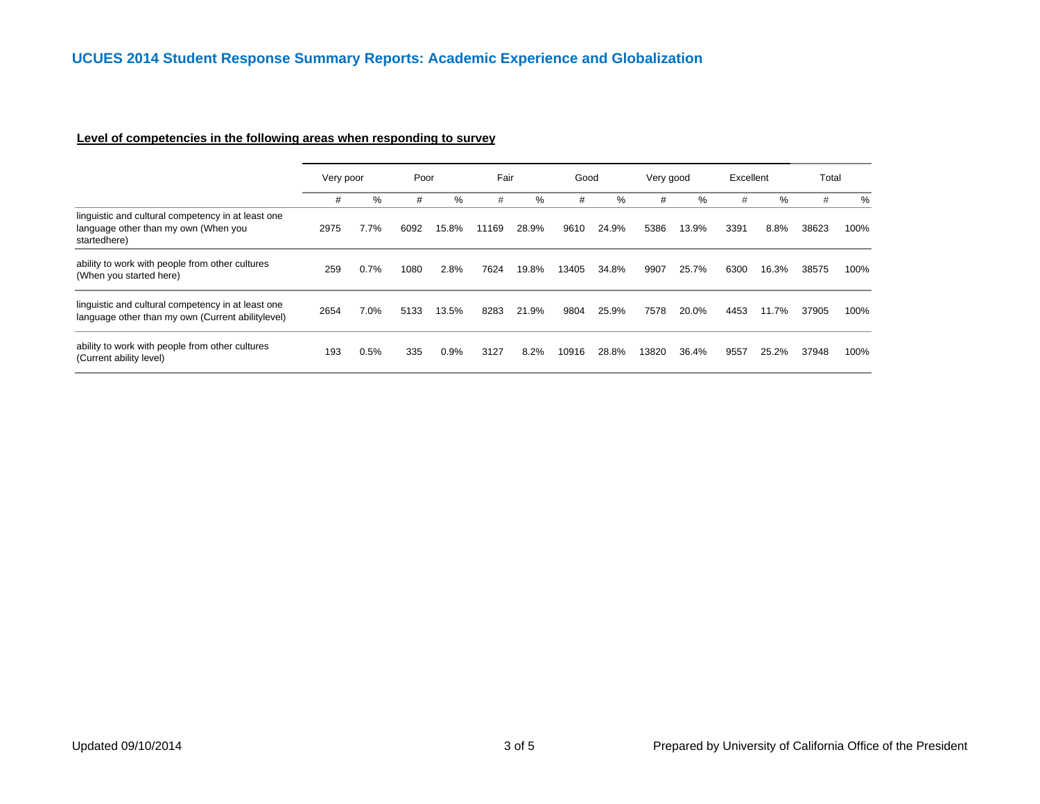# **Level of competencies in the following areas when responding to survey**

|                                                                                                            | Very poor |      | Poor |         | Fair  |       | Good  |       | Very good |       | Excellent |       | Total |      |
|------------------------------------------------------------------------------------------------------------|-----------|------|------|---------|-------|-------|-------|-------|-----------|-------|-----------|-------|-------|------|
|                                                                                                            | #         | %    | #    | ℅       | #     | %     | #     | %     | #         | %     | #         | $\%$  | #     | %    |
| linguistic and cultural competency in at least one<br>language other than my own (When you<br>startedhere) | 2975      | 7.7% | 6092 | 15.8%   | 11169 | 28.9% | 9610  | 24.9% | 5386      | 13.9% | 3391      | 8.8%  | 38623 | 100% |
| ability to work with people from other cultures<br>(When you started here)                                 | 259       | 0.7% | 1080 | 2.8%    | 7624  | 19.8% | 13405 | 34.8% | 9907      | 25.7% | 6300      | 16.3% | 38575 | 100% |
| linguistic and cultural competency in at least one<br>language other than my own (Current abilitylevel)    | 2654      | 7.0% | 5133 | 13.5%   | 8283  | 21.9% | 9804  | 25.9% | 7578      | 20.0% | 4453      | 11.7% | 37905 | 100% |
| ability to work with people from other cultures<br>(Current ability level)                                 | 193       | 0.5% | 335  | $0.9\%$ | 3127  | 8.2%  | 10916 | 28.8% | 13820     | 36.4% | 9557      | 25.2% | 37948 | 100% |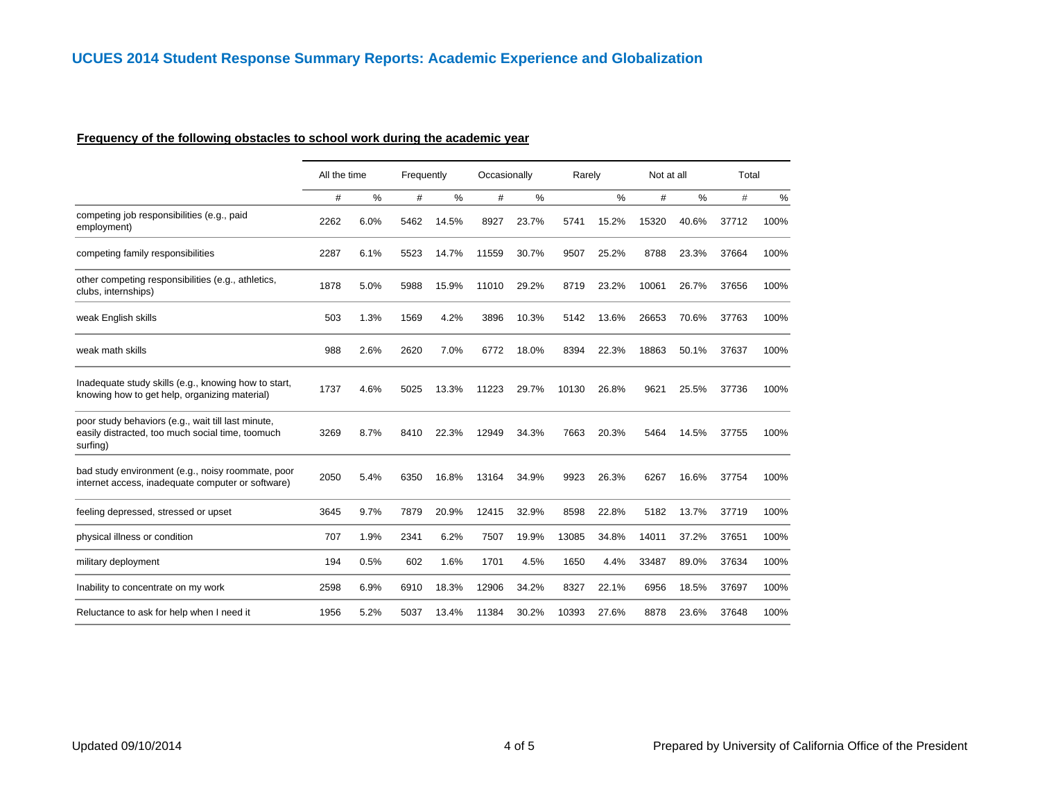#### **Frequency of the following obstacles to school work during the academic year**

|                                                                                                                    | All the time |      | Frequently |       | Occasionally |       | Rarely |               | Not at all |       | Total |      |
|--------------------------------------------------------------------------------------------------------------------|--------------|------|------------|-------|--------------|-------|--------|---------------|------------|-------|-------|------|
|                                                                                                                    | #            | %    | #          | $\%$  | #            | $\%$  |        | $\frac{0}{0}$ | $\#$       | %     | #     | %    |
| competing job responsibilities (e.g., paid<br>employment)                                                          | 2262         | 6.0% | 5462       | 14.5% | 8927         | 23.7% | 5741   | 15.2%         | 15320      | 40.6% | 37712 | 100% |
| competing family responsibilities                                                                                  | 2287         | 6.1% | 5523       | 14.7% | 11559        | 30.7% | 9507   | 25.2%         | 8788       | 23.3% | 37664 | 100% |
| other competing responsibilities (e.g., athletics,<br>clubs, internships)                                          | 1878         | 5.0% | 5988       | 15.9% | 11010        | 29.2% | 8719   | 23.2%         | 10061      | 26.7% | 37656 | 100% |
| weak English skills                                                                                                | 503          | 1.3% | 1569       | 4.2%  | 3896         | 10.3% | 5142   | 13.6%         | 26653      | 70.6% | 37763 | 100% |
| weak math skills                                                                                                   | 988          | 2.6% | 2620       | 7.0%  | 6772         | 18.0% | 8394   | 22.3%         | 18863      | 50.1% | 37637 | 100% |
| Inadequate study skills (e.g., knowing how to start,<br>knowing how to get help, organizing material)              | 1737         | 4.6% | 5025       | 13.3% | 11223        | 29.7% | 10130  | 26.8%         | 9621       | 25.5% | 37736 | 100% |
| poor study behaviors (e.g., wait till last minute,<br>easily distracted, too much social time, toomuch<br>surfing) | 3269         | 8.7% | 8410       | 22.3% | 12949        | 34.3% | 7663   | 20.3%         | 5464       | 14.5% | 37755 | 100% |
| bad study environment (e.g., noisy roommate, poor<br>internet access, inadequate computer or software)             | 2050         | 5.4% | 6350       | 16.8% | 13164        | 34.9% | 9923   | 26.3%         | 6267       | 16.6% | 37754 | 100% |
| feeling depressed, stressed or upset                                                                               | 3645         | 9.7% | 7879       | 20.9% | 12415        | 32.9% | 8598   | 22.8%         | 5182       | 13.7% | 37719 | 100% |
| physical illness or condition                                                                                      | 707          | 1.9% | 2341       | 6.2%  | 7507         | 19.9% | 13085  | 34.8%         | 14011      | 37.2% | 37651 | 100% |
| military deployment                                                                                                | 194          | 0.5% | 602        | 1.6%  | 1701         | 4.5%  | 1650   | 4.4%          | 33487      | 89.0% | 37634 | 100% |
| Inability to concentrate on my work                                                                                | 2598         | 6.9% | 6910       | 18.3% | 12906        | 34.2% | 8327   | 22.1%         | 6956       | 18.5% | 37697 | 100% |
| Reluctance to ask for help when I need it                                                                          | 1956         | 5.2% | 5037       | 13.4% | 11384        | 30.2% | 10393  | 27.6%         | 8878       | 23.6% | 37648 | 100% |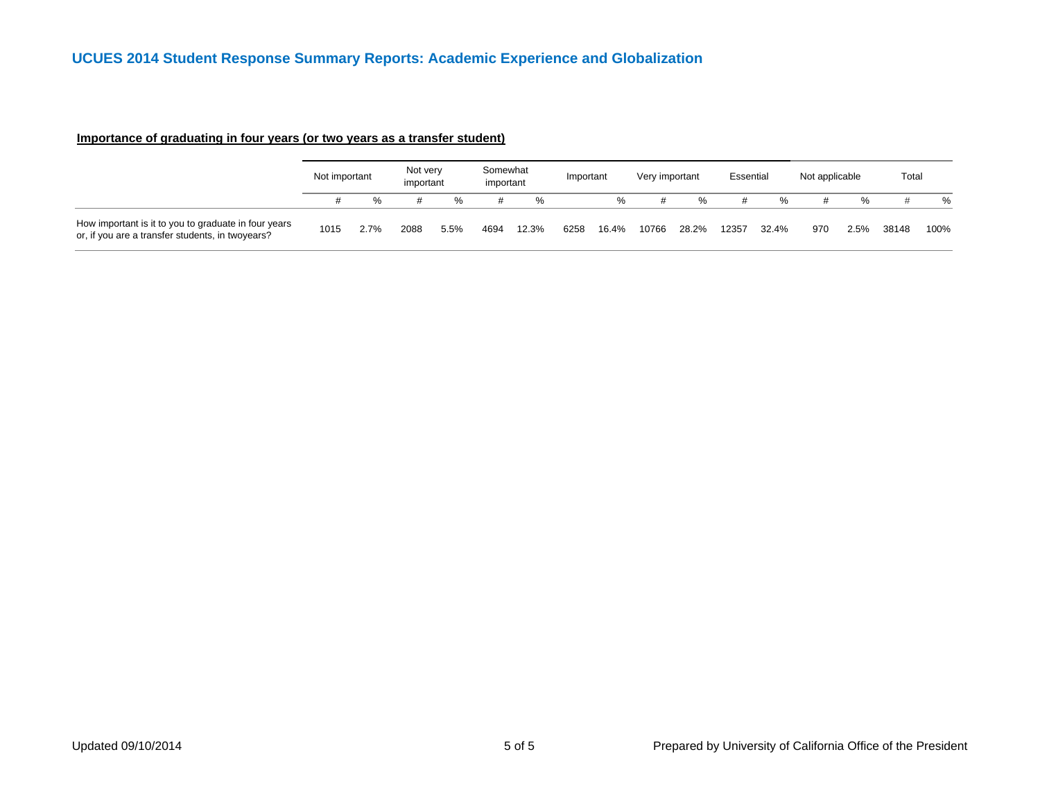|                                                                                                          | Not important |      | Not very<br>important |      | Somewhat<br>important |       | Important |       | Very important |       | Essential |       | Not applicable |      | Total |      |
|----------------------------------------------------------------------------------------------------------|---------------|------|-----------------------|------|-----------------------|-------|-----------|-------|----------------|-------|-----------|-------|----------------|------|-------|------|
|                                                                                                          |               | %    |                       |      | #                     | ℅     |           | %     |                | %     |           | ℅     |                |      |       | %    |
| How important is it to you to graduate in four years<br>or, if you are a transfer students, in twoyears? | 1015          | 2.7% | 2088                  | 5.5% | 4694                  | 12.3% | 6258      | 16.4% | 10766          | 28.2% | 12357     | 32.4% | 970            | 2.5% | 38148 | 100% |

# **Importance of graduating in four years (or two years as a transfer student)**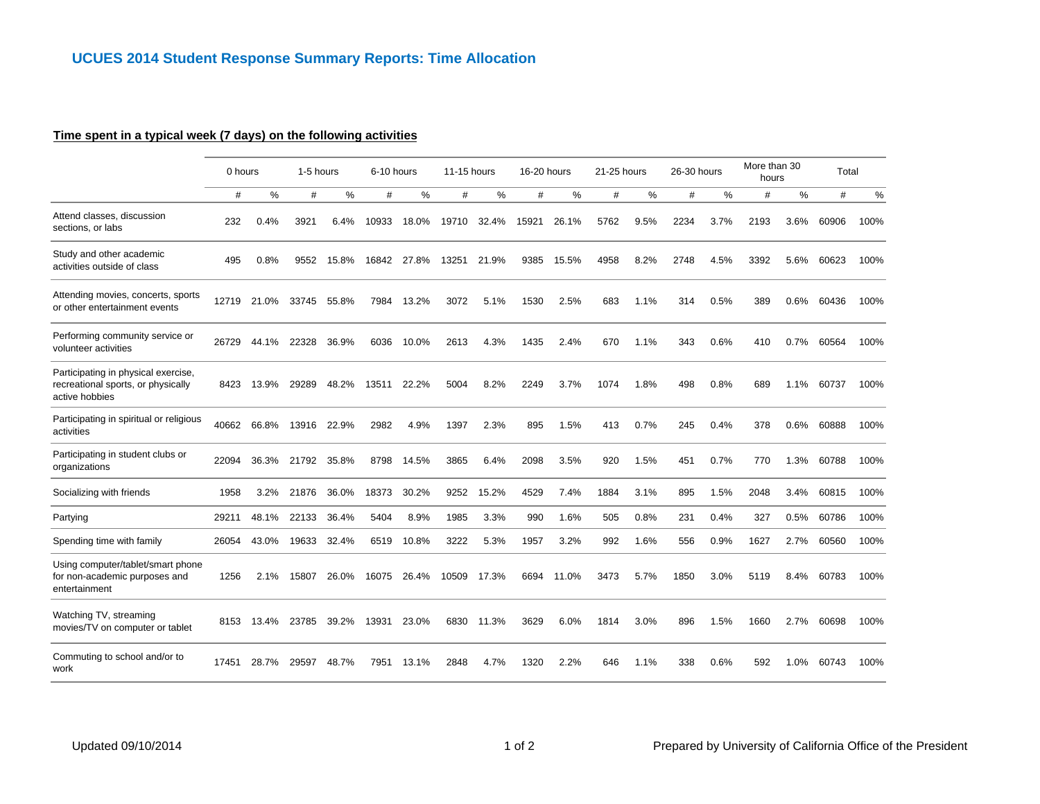# **Time spent in a typical week (7 days) on the following activities**

|                                                                                             | 0 hours |            | 1-5 hours |         | 6-10 hours |       | 11-15 hours |       | 16-20 hours |       | 21-25 hours |      | 26-30 hours |      | More than 30<br>hours |      | Total |      |
|---------------------------------------------------------------------------------------------|---------|------------|-----------|---------|------------|-------|-------------|-------|-------------|-------|-------------|------|-------------|------|-----------------------|------|-------|------|
|                                                                                             | #       | %          | #         | %       | #          | %     | #           | %     | #           | %     | #           | %    | #           | %    | #                     | %    | #     | %    |
| Attend classes, discussion<br>sections, or labs                                             | 232     | 0.4%       | 3921      | $6.4\%$ | 10933      | 18.0% | 19710       | 32.4% | 15921       | 26.1% | 5762        | 9.5% | 2234        | 3.7% | 2193                  | 3.6% | 60906 | 100% |
| Study and other academic<br>activities outside of class                                     | 495     | 0.8%       | 9552      | 15.8%   | 16842      | 27.8% | 13251       | 21.9% | 9385        | 15.5% | 4958        | 8.2% | 2748        | 4.5% | 3392                  | 5.6% | 60623 | 100% |
| Attending movies, concerts, sports<br>or other entertainment events                         | 12719   | 21.0%      | 33745     | 55.8%   | 7984       | 13.2% | 3072        | 5.1%  | 1530        | 2.5%  | 683         | 1.1% | 314         | 0.5% | 389                   | 0.6% | 60436 | 100% |
| Performing community service or<br>volunteer activities                                     | 26729   | 44.1%      | 22328     | 36.9%   | 6036       | 10.0% | 2613        | 4.3%  | 1435        | 2.4%  | 670         | 1.1% | 343         | 0.6% | 410                   | 0.7% | 60564 | 100% |
| Participating in physical exercise,<br>recreational sports, or physically<br>active hobbies | 8423    | 13.9%      | 29289     | 48.2%   | 13511      | 22.2% | 5004        | 8.2%  | 2249        | 3.7%  | 1074        | 1.8% | 498         | 0.8% | 689                   | 1.1% | 60737 | 100% |
| Participating in spiritual or religious<br>activities                                       | 40662   | 66.8%      | 13916     | 22.9%   | 2982       | 4.9%  | 1397        | 2.3%  | 895         | 1.5%  | 413         | 0.7% | 245         | 0.4% | 378                   | 0.6% | 60888 | 100% |
| Participating in student clubs or<br>organizations                                          | 22094   | 36.3%      | 21792     | 35.8%   | 8798       | 14.5% | 3865        | 6.4%  | 2098        | 3.5%  | 920         | 1.5% | 451         | 0.7% | 770                   | 1.3% | 60788 | 100% |
| Socializing with friends                                                                    | 1958    | 3.2%       | 21876     | 36.0%   | 18373      | 30.2% | 9252        | 15.2% | 4529        | 7.4%  | 1884        | 3.1% | 895         | 1.5% | 2048                  | 3.4% | 60815 | 100% |
| Partying                                                                                    | 29211   | 48.1%      | 22133     | 36.4%   | 5404       | 8.9%  | 1985        | 3.3%  | 990         | 1.6%  | 505         | 0.8% | 231         | 0.4% | 327                   | 0.5% | 60786 | 100% |
| Spending time with family                                                                   | 26054   | 43.0%      | 19633     | 32.4%   | 6519       | 10.8% | 3222        | 5.3%  | 1957        | 3.2%  | 992         | 1.6% | 556         | 0.9% | 1627                  | 2.7% | 60560 | 100% |
| Using computer/tablet/smart phone<br>for non-academic purposes and<br>entertainment         | 1256    | 2.1%       | 15807     | 26.0%   | 16075      | 26.4% | 10509       | 17.3% | 6694        | 11.0% | 3473        | 5.7% | 1850        | 3.0% | 5119                  | 8.4% | 60783 | 100% |
| Watching TV, streaming<br>movies/TV on computer or tablet                                   |         | 8153 13.4% | 23785     | 39.2%   | 13931      | 23.0% | 6830        | 11.3% | 3629        | 6.0%  | 1814        | 3.0% | 896         | 1.5% | 1660                  | 2.7% | 60698 | 100% |
| Commuting to school and/or to<br>work                                                       | 17451   | 28.7%      | 29597     | 48.7%   | 7951       | 13.1% | 2848        | 4.7%  | 1320        | 2.2%  | 646         | 1.1% | 338         | 0.6% | 592                   | 1.0% | 60743 | 100% |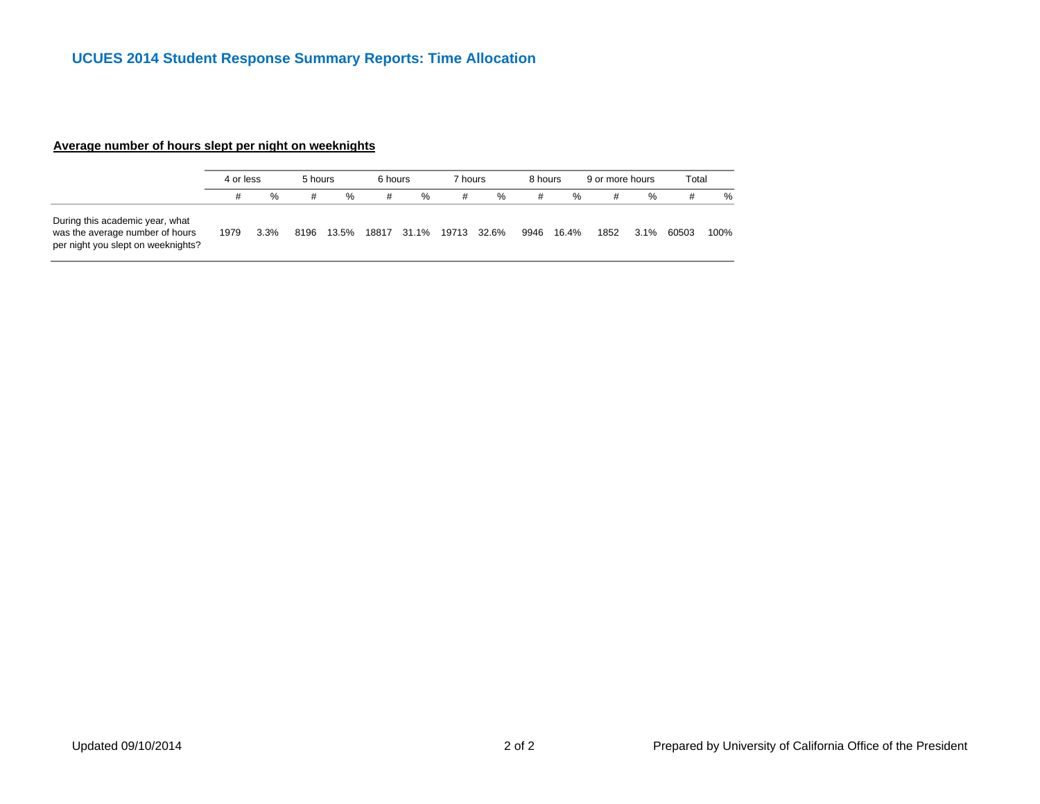## **Average number of hours slept per night on weeknights**

|                                                                                                          | 4 or less |      | 5 hours |       | 6 hours |   | 7 hours |                         | 8 hours |       | 9 or more hours |         | Total |      |
|----------------------------------------------------------------------------------------------------------|-----------|------|---------|-------|---------|---|---------|-------------------------|---------|-------|-----------------|---------|-------|------|
|                                                                                                          | #         | %    | #       | $\%$  | #       | % | #       | %                       | #       | %     | #               | %       | #     | %    |
| During this academic year, what<br>was the average number of hours<br>per night you slept on weeknights? | 1979      | 3.3% | 8196    | 13.5% |         |   |         | 18817 31.1% 19713 32.6% | 9946    | 16.4% | 1852            | $3.1\%$ | 60503 | 100% |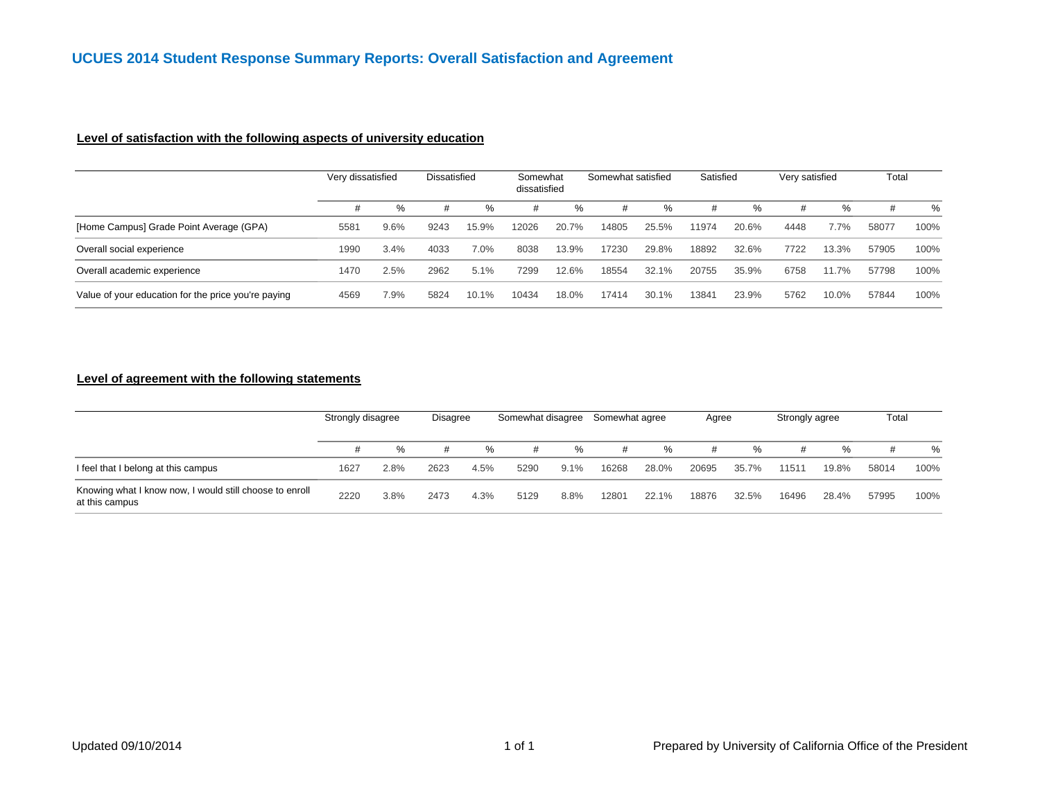## **Level of satisfaction with the following aspects of university education**

|                                                     | Very dissatisfied |      | Dissatisfied |       | Somewhat<br>dissatisfied |       | Somewhat satisfied |       | Satisfied |       | Very satisfied |       | Total |      |
|-----------------------------------------------------|-------------------|------|--------------|-------|--------------------------|-------|--------------------|-------|-----------|-------|----------------|-------|-------|------|
|                                                     |                   | $\%$ | #            | $\%$  | #                        | %     | #                  | %     |           | $\%$  | #              | %     | #     | %    |
| [Home Campus] Grade Point Average (GPA)             | 5581              | 9.6% | 9243         | 15.9% | 12026                    | 20.7% | 14805              | 25.5% | 11974     | 20.6% | 4448           | 7.7%  | 58077 | 100% |
| Overall social experience                           | 1990              | 3.4% | 4033         | 7.0%  | 8038                     | 13.9% | 17230              | 29.8% | 18892     | 32.6% | 7722           | 13.3% | 57905 | 100% |
| Overall academic experience                         | 1470              | 2.5% | 2962         | 5.1%  | 7299                     | 12.6% | 18554              | 32.1% | 20755     | 35.9% | 6758           | 11.7% | 57798 | 100% |
| Value of your education for the price you're paying | 4569              | 7.9% | 5824         | 10.1% | 10434                    | 18.0% | 17414              | 30.1% | 13841     | 23.9% | 5762           | 10.0% | 57844 | 100% |

#### **Level of agreement with the following statements**

|                                                                           | Strongly disagree |      | Disagree |      | Somewhat disagree |         | Somewhat agree |       | Agree |       | Strongly agree |       | Total |      |
|---------------------------------------------------------------------------|-------------------|------|----------|------|-------------------|---------|----------------|-------|-------|-------|----------------|-------|-------|------|
|                                                                           |                   | %    | #        | %    |                   | %       | #              | %     |       | %     |                | %     | #     | %    |
| I feel that I belong at this campus                                       | 1627              | 2.8% | 2623     | 4.5% | 5290              | $9.1\%$ | 16268          | 28.0% | 20695 | 35.7% | 11511          | 19.8% | 58014 | 100% |
| Knowing what I know now, I would still choose to enroll<br>at this campus | 2220              | 3.8% | 2473     | 4.3% | 5129              | 8.8%    | 12801          | 22.1% | 18876 | 32.5% | 16496          | 28.4% | 57995 | 100% |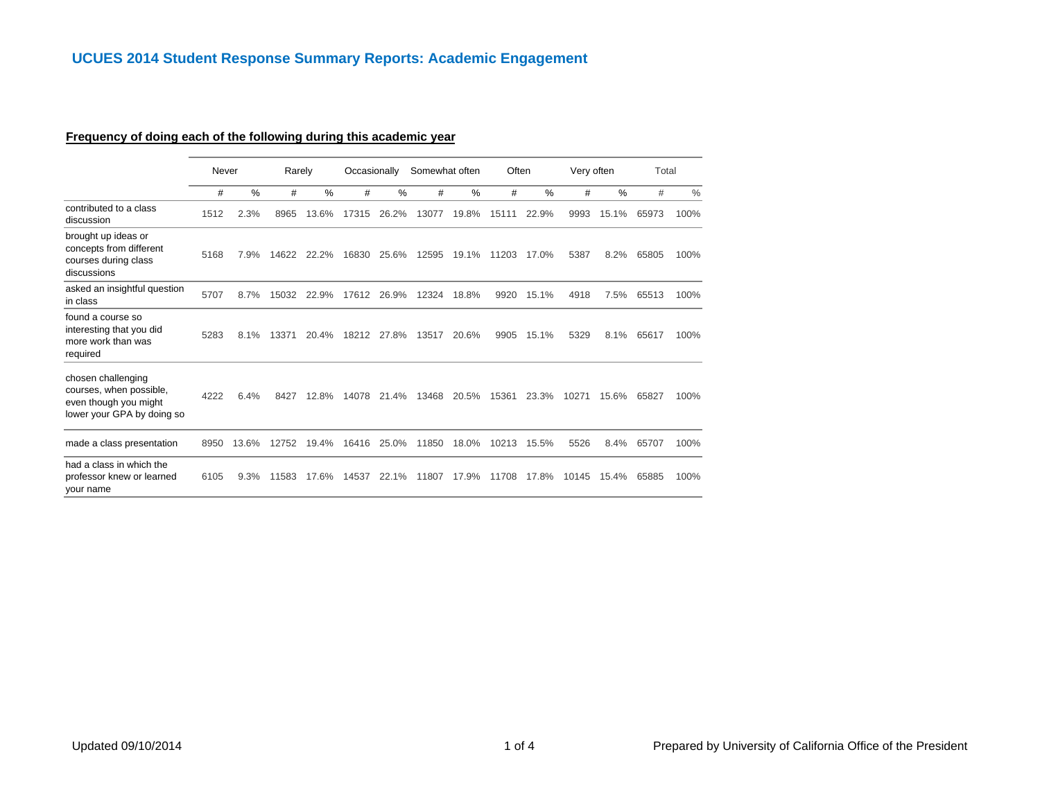# **Frequency of doing each of the following during this academic year**

|                                                                                                      | Never |       | Rarely |       | Occasionally |       | Somewhat often |       | Often |       | Very often |       | Total |      |
|------------------------------------------------------------------------------------------------------|-------|-------|--------|-------|--------------|-------|----------------|-------|-------|-------|------------|-------|-------|------|
|                                                                                                      | #     | $\%$  | #      | $\%$  | #            | $\%$  | #              | %     | #     | %     | #          | %     | #     | $\%$ |
| contributed to a class<br>discussion                                                                 | 1512  | 2.3%  | 8965   | 13.6% | 17315        | 26.2% | 13077          | 19.8% | 15111 | 22.9% | 9993       | 15.1% | 65973 | 100% |
| brought up ideas or<br>concepts from different<br>courses during class<br>discussions                | 5168  | 7.9%  | 14622  | 22.2% | 16830        | 25.6% | 12595          | 19.1% | 11203 | 17.0% | 5387       | 8.2%  | 65805 | 100% |
| asked an insightful question<br>in class                                                             | 5707  | 8.7%  | 15032  | 22.9% | 17612        | 26.9% | 12324          | 18.8% | 9920  | 15.1% | 4918       | 7.5%  | 65513 | 100% |
| found a course so<br>interesting that you did<br>more work than was<br>required                      | 5283  | 8.1%  | 13371  | 20.4% | 18212        | 27.8% | 13517          | 20.6% | 9905  | 15.1% | 5329       | 8.1%  | 65617 | 100% |
| chosen challenging<br>courses, when possible,<br>even though you might<br>lower your GPA by doing so | 4222  | 6.4%  | 8427   | 12.8% | 14078        | 21.4% | 13468          | 20.5% | 15361 | 23.3% | 10271      | 15.6% | 65827 | 100% |
| made a class presentation                                                                            | 8950  | 13.6% | 12752  | 19.4% | 16416        | 25.0% | 11850          | 18.0% | 10213 | 15.5% | 5526       | 8.4%  | 65707 | 100% |
| had a class in which the<br>professor knew or learned<br>your name                                   | 6105  | 9.3%  | 11583  | 17.6% | 14537        | 22.1% | 11807          | 17.9% | 11708 | 17.8% | 10145      | 15.4% | 65885 | 100% |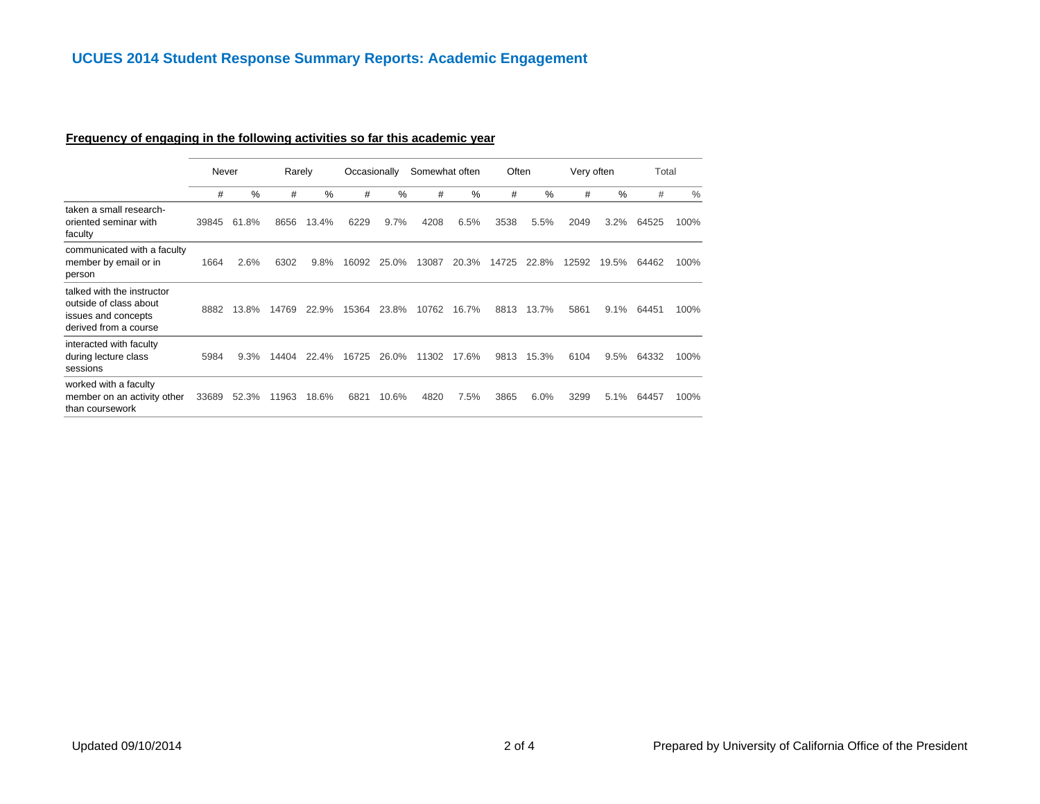# **Frequency of engaging in the following activities so far this academic year**

|                                                                                                      | Never |           | Rarely |       | Occasionally |       | Somewhat often |       | Often |       | Very often |       | Total |      |
|------------------------------------------------------------------------------------------------------|-------|-----------|--------|-------|--------------|-------|----------------|-------|-------|-------|------------|-------|-------|------|
|                                                                                                      | #     | %         | #      | $\%$  | #            | $\%$  | #              | $\%$  | #     | %     | #          | $\%$  | #     | $\%$ |
| taken a small research-<br>oriented seminar with<br>faculty                                          | 39845 | 61<br>.8% | 8656   | 13.4% | 6229         | 9.7%  | 4208           | 6.5%  | 3538  | 5.5%  | 2049       | 3.2%  | 64525 | 100% |
| communicated with a faculty<br>member by email or in<br>person                                       | 1664  | 2.6%      | 6302   | 9.8%  | 16092        | 25.0% | 13087          | 20.3% | 14725 | 22.8% | 12592      | 19.5% | 64462 | 100% |
| talked with the instructor<br>outside of class about<br>issues and concepts<br>derived from a course | 8882  | 13.8%     | 14769  | 22.9% | 15364        | 23.8% | 10762          | 16.7% | 8813  | 13.7% | 5861       | 9.1%  | 64451 | 100% |
| interacted with faculty<br>during lecture class<br>sessions                                          | 5984  | 9.3%      | 14404  | 22.4% | 16725        | 26.0% | 11302          | 17.6% | 9813  | 15.3% | 6104       | 9.5%  | 64332 | 100% |
| worked with a faculty<br>member on an activity other<br>than coursework                              | 33689 | 52.3%     | 11963  | 18.6% | 6821         | 10.6% | 4820           | 7.5%  | 3865  | 6.0%  | 3299       | 5.1%  | 64457 | 100% |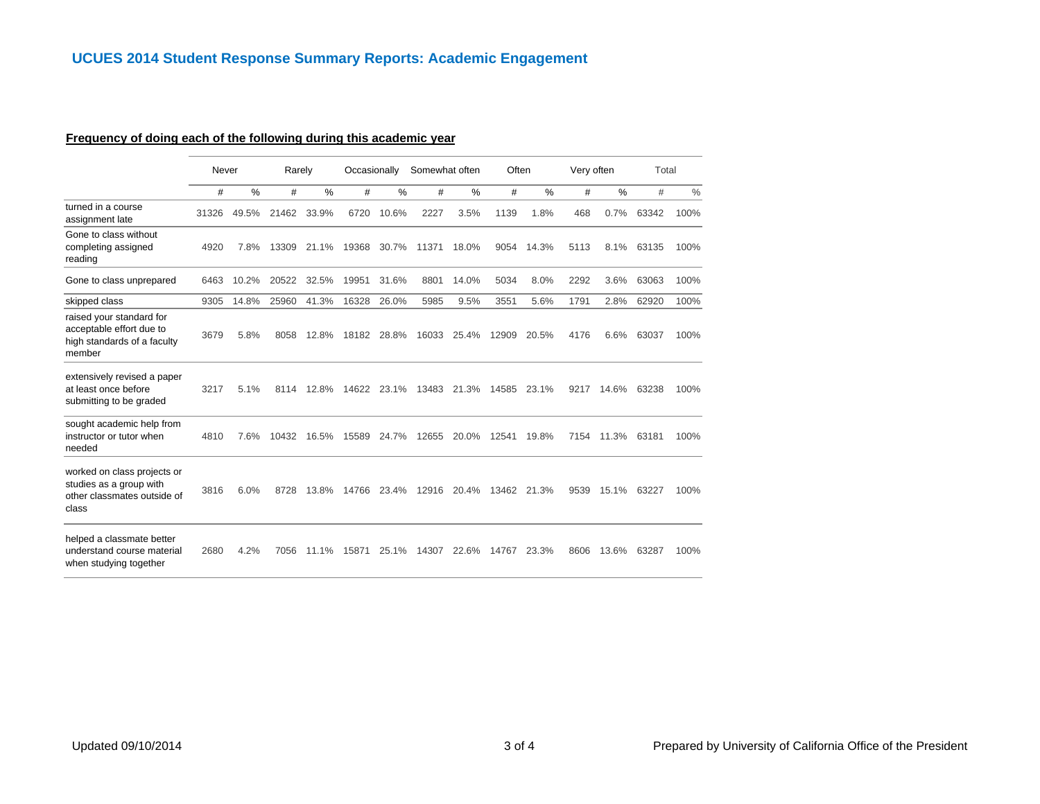# **Frequency of doing each of the following during this academic year**

|                                                                                                | Never |       | Rarely |               | Occasionally |       | Somewhat often |       | Often |               | Very often |       | Total |               |
|------------------------------------------------------------------------------------------------|-------|-------|--------|---------------|--------------|-------|----------------|-------|-------|---------------|------------|-------|-------|---------------|
|                                                                                                | #     | %     | #      | $\frac{0}{0}$ | #            | %     | #              | %     | #     | $\frac{0}{0}$ | #          | %     | #     | $\frac{0}{0}$ |
| turned in a course<br>assignment late                                                          | 31326 | 49.5% | 21462  | 33.9%         | 6720         | 10.6% | 2227           | 3.5%  | 1139  | 1.8%          | 468        | 0.7%  | 63342 | 100%          |
| Gone to class without<br>completing assigned<br>reading                                        | 4920  | 7.8%  | 13309  | 21.1%         | 19368        | 30.7% | 11371          | 18.0% | 9054  | 14.3%         | 5113       | 8.1%  | 63135 | 100%          |
| Gone to class unprepared                                                                       | 6463  | 10.2% | 20522  | 32.5%         | 19951        | 31.6% | 8801           | 14.0% | 5034  | 8.0%          | 2292       | 3.6%  | 63063 | 100%          |
| skipped class                                                                                  | 9305  | 14.8% | 25960  | 41.3%         | 16328        | 26.0% | 5985           | 9.5%  | 3551  | 5.6%          | 1791       | 2.8%  | 62920 | 100%          |
| raised your standard for<br>acceptable effort due to<br>high standards of a faculty<br>member  | 3679  | 5.8%  | 8058   | 12.8%         | 18182        | 28.8% | 16033          | 25.4% | 12909 | 20.5%         | 4176       | 6.6%  | 63037 | 100%          |
| extensively revised a paper<br>at least once before<br>submitting to be graded                 | 3217  | 5.1%  | 8114   | 12.8%         | 14622        | 23.1% | 13483          | 21.3% | 14585 | 23.1%         | 9217       | 14.6% | 63238 | 100%          |
| sought academic help from<br>instructor or tutor when<br>needed                                | 4810  | 7.6%  | 10432  | 16.5%         | 15589        | 24.7% | 12655          | 20.0% | 12541 | 19.8%         | 7154       | 11.3% | 63181 | 100%          |
| worked on class projects or<br>studies as a group with<br>other classmates outside of<br>class | 3816  | 6.0%  | 8728   | 13.8%         | 14766        | 23.4% | 12916          | 20.4% | 13462 | 21.3%         | 9539       | 15.1% | 63227 | 100%          |
| helped a classmate better<br>understand course material<br>when studying together              | 2680  | 4.2%  | 7056   | 11.1%         | 15871        | 25.1% | 14307          | 22.6% | 14767 | 23.3%         | 8606       | 13.6% | 63287 | 100%          |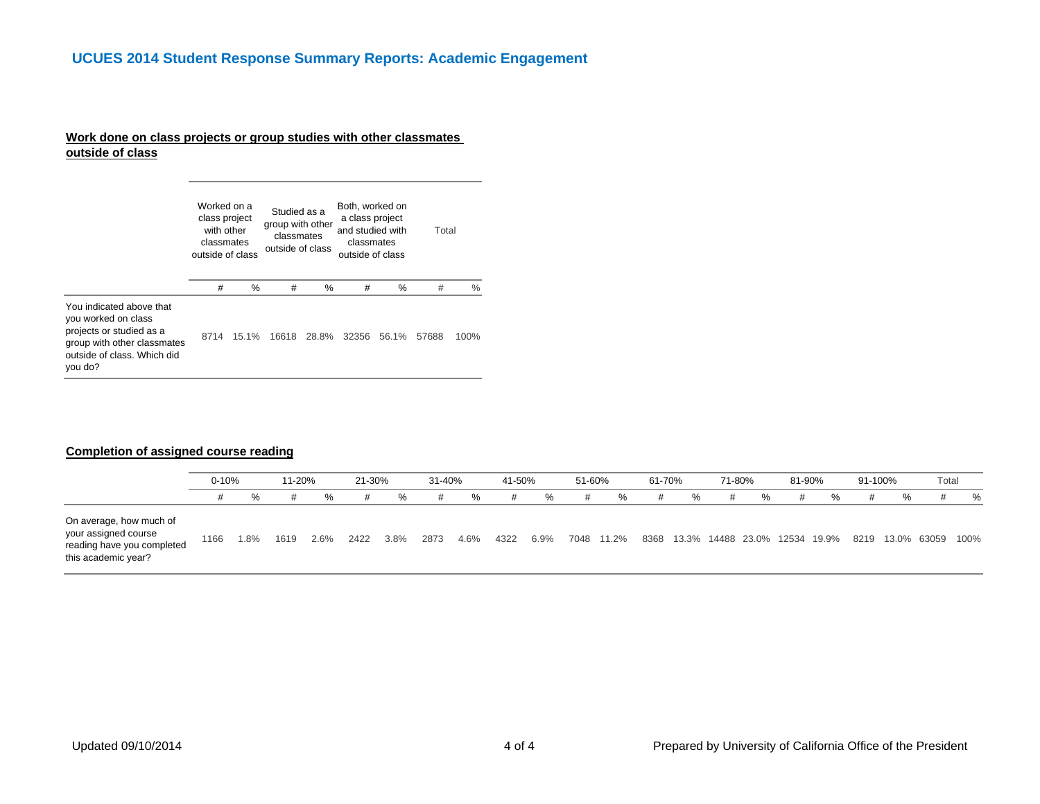## **Work done on class projects or group studies with other classmates outside of class**

|                                                                                                                                                      | Worked on a<br>class project<br>with other<br>classmates<br>outside of class |       | Studied as a<br>group with other<br>classmates<br>outside of class |       | Both, worked on<br>a class project<br>and studied with<br>classmates<br>outside of class |       | Total |      |
|------------------------------------------------------------------------------------------------------------------------------------------------------|------------------------------------------------------------------------------|-------|--------------------------------------------------------------------|-------|------------------------------------------------------------------------------------------|-------|-------|------|
|                                                                                                                                                      | #                                                                            | %     | #                                                                  | %     | #                                                                                        | %     | #     | $\%$ |
| You indicated above that<br>you worked on class<br>projects or studied as a<br>group with other classmates<br>outside of class. Which did<br>you do? | 8714                                                                         | 15.1% | 16618                                                              | 28.8% | 32356                                                                                    | 56.1% | 57688 | 100% |

#### **Completion of assigned course reading**

|                                                                                                      | $0 - 10%$ |      | 11-20% |         | 21-30% |         | 31-40% |      | 41-50% |         | 51-60% |            | 61-70% |   | 71-80% |   | 81-90% |                                    | 91-100% |   | Total                 |   |
|------------------------------------------------------------------------------------------------------|-----------|------|--------|---------|--------|---------|--------|------|--------|---------|--------|------------|--------|---|--------|---|--------|------------------------------------|---------|---|-----------------------|---|
|                                                                                                      |           | $\%$ | #      | %       | #      | %       | #      | %    | #      | %       | #      | %          | #      | % | #      | % | #      | %                                  |         | % |                       | % |
| On average, how much of<br>your assigned course<br>reading have you completed<br>this academic year? | 1166      | 1.8% | 1619   | $2.6\%$ | 2422   | $3.8\%$ | 2873   | 4.6% | 4322   | $6.9\%$ |        | 7048 11.2% |        |   |        |   |        | 8368 13.3% 14488 23.0% 12534 19.9% |         |   | 8219 13.0% 63059 100% |   |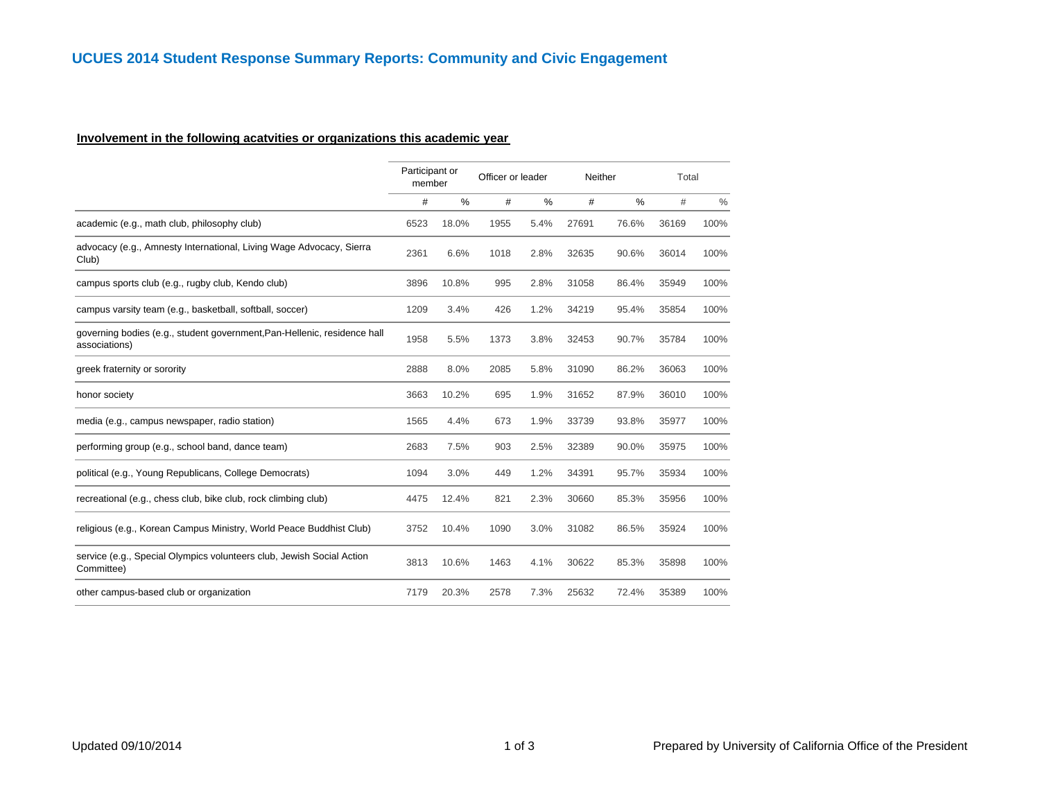## **Involvement in the following acatvities or organizations this academic year**

|                                                                                           | Participant or<br>member |       | Officer or leader |      | Neither |       | Total |      |
|-------------------------------------------------------------------------------------------|--------------------------|-------|-------------------|------|---------|-------|-------|------|
|                                                                                           | #                        | $\%$  | #                 | %    | #       | %     | #     | $\%$ |
| academic (e.g., math club, philosophy club)                                               | 6523                     | 18.0% | 1955              | 5.4% | 27691   | 76.6% | 36169 | 100% |
| advocacy (e.g., Amnesty International, Living Wage Advocacy, Sierra<br>Club)              | 2361                     | 6.6%  | 1018              | 2.8% | 32635   | 90.6% | 36014 | 100% |
| campus sports club (e.g., rugby club, Kendo club)                                         | 3896                     | 10.8% | 995               | 2.8% | 31058   | 86.4% | 35949 | 100% |
| campus varsity team (e.g., basketball, softball, soccer)                                  | 1209                     | 3.4%  | 426               | 1.2% | 34219   | 95.4% | 35854 | 100% |
| governing bodies (e.g., student government, Pan-Hellenic, residence hall<br>associations) | 1958                     | 5.5%  | 1373              | 3.8% | 32453   | 90.7% | 35784 | 100% |
| greek fraternity or sorority                                                              | 2888                     | 8.0%  | 2085              | 5.8% | 31090   | 86.2% | 36063 | 100% |
| honor society                                                                             | 3663                     | 10.2% | 695               | 1.9% | 31652   | 87.9% | 36010 | 100% |
| media (e.g., campus newspaper, radio station)                                             | 1565                     | 4.4%  | 673               | 1.9% | 33739   | 93.8% | 35977 | 100% |
| performing group (e.g., school band, dance team)                                          | 2683                     | 7.5%  | 903               | 2.5% | 32389   | 90.0% | 35975 | 100% |
| political (e.g., Young Republicans, College Democrats)                                    | 1094                     | 3.0%  | 449               | 1.2% | 34391   | 95.7% | 35934 | 100% |
| recreational (e.g., chess club, bike club, rock climbing club)                            | 4475                     | 12.4% | 821               | 2.3% | 30660   | 85.3% | 35956 | 100% |
| religious (e.g., Korean Campus Ministry, World Peace Buddhist Club)                       | 3752                     | 10.4% | 1090              | 3.0% | 31082   | 86.5% | 35924 | 100% |
| service (e.g., Special Olympics volunteers club, Jewish Social Action<br>Committee)       | 3813                     | 10.6% | 1463              | 4.1% | 30622   | 85.3% | 35898 | 100% |
| other campus-based club or organization                                                   | 7179                     | 20.3% | 2578              | 7.3% | 25632   | 72.4% | 35389 | 100% |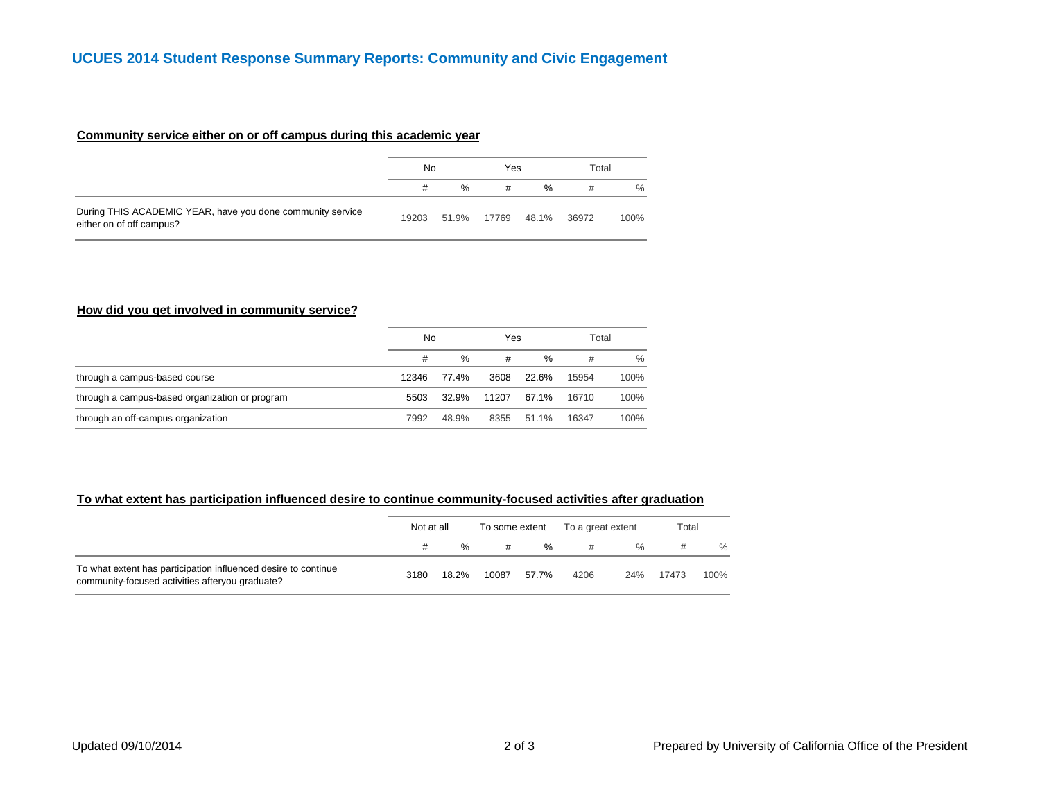#### **Community service either on or off campus during this academic year**

|                                                                                        | No    |             | Yes |               | Total |      |
|----------------------------------------------------------------------------------------|-------|-------------|-----|---------------|-------|------|
|                                                                                        | #     | $\%$        | #   | $\frac{0}{6}$ | #     | $\%$ |
| During THIS ACADEMIC YEAR, have you done community service<br>either on of off campus? | 19203 | 51.9% 17769 |     | 48.1%         | 36972 | 100% |

#### **How did you get involved in community service?**

|                                                | No    |       | Yes   |       | Total |      |
|------------------------------------------------|-------|-------|-------|-------|-------|------|
|                                                | #     | $\%$  | #     | %     | #     | $\%$ |
| through a campus-based course                  | 12346 | 77.4% | 3608  | 22.6% | 15954 | 100% |
| through a campus-based organization or program | 5503  | 32.9% | 11207 | 67.1% | 16710 | 100% |
| through an off-campus organization             | 7992  | 48.9% | 8355  | 51.1% | 16347 | 100% |

#### **To what extent has participation influenced desire to continue community-focused activities after graduation**

|                                                                                                                   | Not at all |               | To some extent |       | To a great extent |               | Total |      |
|-------------------------------------------------------------------------------------------------------------------|------------|---------------|----------------|-------|-------------------|---------------|-------|------|
|                                                                                                                   |            | $\frac{0}{6}$ | #              | $\%$  | #                 | $\frac{0}{0}$ |       | $\%$ |
| To what extent has participation influenced desire to continue<br>community-focused activities afteryou graduate? | 3180       | 18.2%         | 10087          | 57.7% | 4206              | 24%           | 17473 | 100% |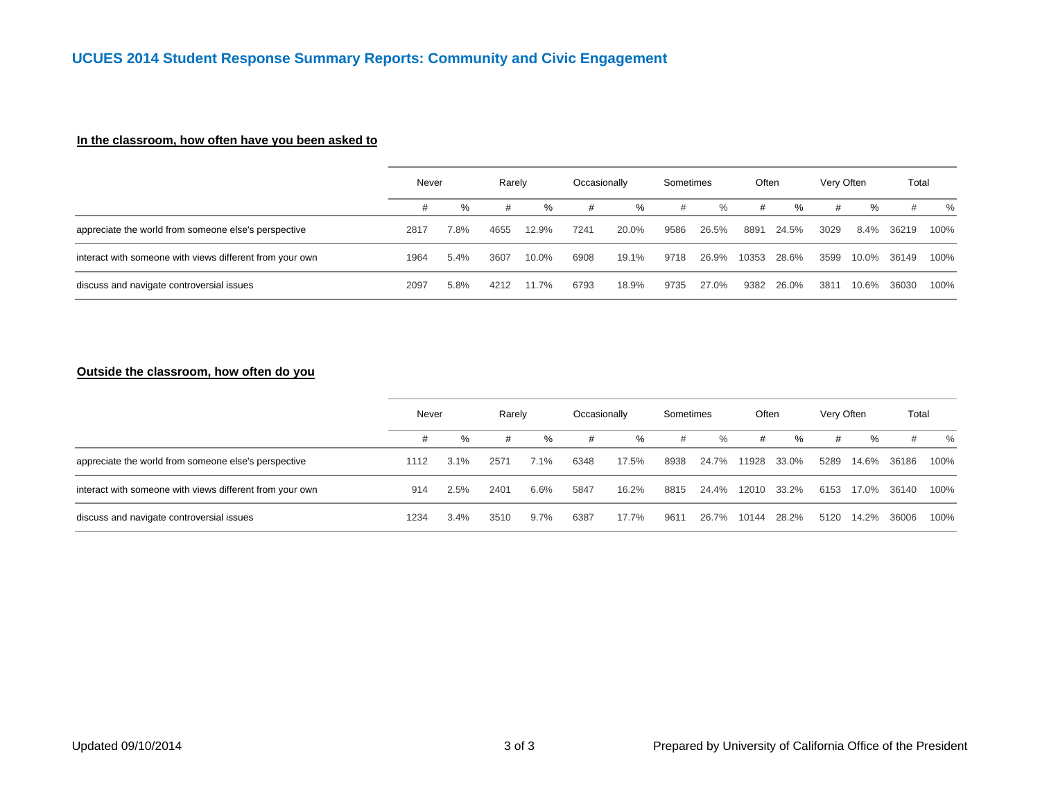## **In the classroom, how often have you been asked to**

|                                                          |      | Never |      | Rarely | Occasionally |       | Sometimes |       | Often |       | Very Often |       | Total |      |
|----------------------------------------------------------|------|-------|------|--------|--------------|-------|-----------|-------|-------|-------|------------|-------|-------|------|
|                                                          | #    | $\%$  |      | ℅      | #            | %     | #         | $\%$  | #     | %     | #          | ℅     | #     | %    |
| appreciate the world from someone else's perspective     | 2817 | 7.8%  | 4655 | 12.9%  | 7241         | 20.0% | 9586      | 26.5% | 8891  | 24.5% | 3029       | 8.4%  | 36219 | 100% |
| interact with someone with views different from your own | 1964 | 5.4%  | 3607 | 10.0%  | 6908         | 19.1% | 9718      | 26.9% | 10353 | 28.6% | 3599       | 10.0% | 36149 | 100% |
| discuss and navigate controversial issues                | 2097 | 5.8%  | 4212 | 11.7%  | 6793         | 18.9% | 9735      | 27.0% | 9382  | 26.0% | 3811       | 10.6% | 36030 | 100% |

#### **Outside the classroom, how often do you**

|                                                          |      | Never |      | Rarely  | Occasionally |       | Sometimes |       | Often |       | Very Often |       | Total |      |
|----------------------------------------------------------|------|-------|------|---------|--------------|-------|-----------|-------|-------|-------|------------|-------|-------|------|
|                                                          |      | %     | #    | %       | #            | %     | #         | $\%$  | #     | %     | #          | %     | #     | $\%$ |
| appreciate the world from someone else's perspective     | 1112 | 3.1%  | 2571 | 7.1%    | 6348         | 17.5% | 8938      | 24.7% | 1928  | 33.0% | 5289       | 14.6% | 36186 | 100% |
| interact with someone with views different from your own | 914  | 2.5%  | 2401 | 6.6%    | 5847         | 16.2% | 8815      | 24.4% | 12010 | 33.2% | 6153       | 17.0% | 36140 | 100% |
| discuss and navigate controversial issues                | 1234 | 3.4%  | 3510 | $9.7\%$ | 6387         | 17.7% | 9611      | 26.7% | 10144 | 28.2% | 5120       | 14.2% | 36006 | 100% |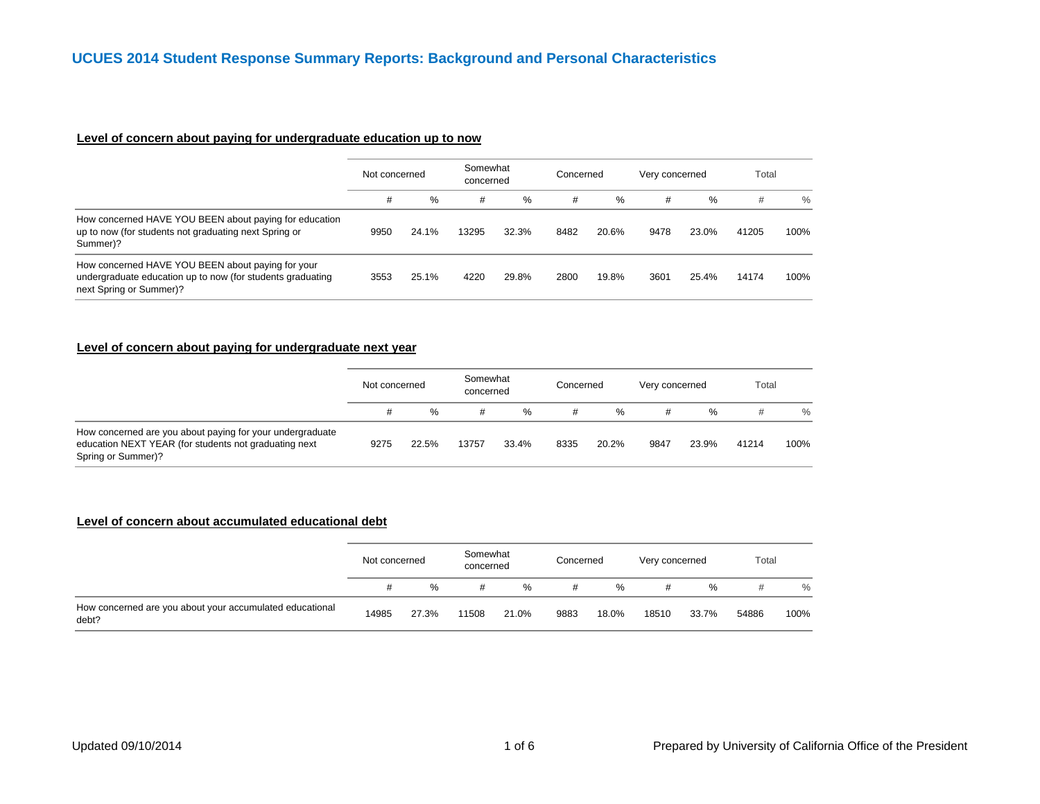## **Level of concern about paying for undergraduate education up to now**

|                                                                                                                                            | Not concerned |       | Somewhat<br>concerned |       | Concerned |       | Very concerned |       | Total |      |
|--------------------------------------------------------------------------------------------------------------------------------------------|---------------|-------|-----------------------|-------|-----------|-------|----------------|-------|-------|------|
|                                                                                                                                            | #             | %     | #                     | %     | #         | %     | #              | %     | #     | $\%$ |
| How concerned HAVE YOU BEEN about paying for education<br>up to now (for students not graduating next Spring or<br>Summer)?                | 9950          | 24.1% | 13295                 | 32.3% | 8482      | 20.6% | 9478           | 23.0% | 41205 | 100% |
| How concerned HAVE YOU BEEN about paying for your<br>undergraduate education up to now (for students graduating<br>next Spring or Summer)? | 3553          | 25.1% | 4220                  | 29.8% | 2800      | 19.8% | 3601           | 25.4% | 14174 | 100% |

#### **Level of concern about paying for undergraduate next year**

|                                                                                                                                          | Not concerned |       | Somewhat<br>concerned |       | Concerned |       | Very concerned |       | Total |               |
|------------------------------------------------------------------------------------------------------------------------------------------|---------------|-------|-----------------------|-------|-----------|-------|----------------|-------|-------|---------------|
|                                                                                                                                          |               | %     | #                     | %     |           | $\%$  | #              | ℅     |       | $\frac{0}{0}$ |
| How concerned are you about paying for your undergraduate<br>education NEXT YEAR (for students not graduating next<br>Spring or Summer)? | 9275          | 22.5% | 13757                 | 33.4% | 8335      | 20.2% | 9847           | 23.9% | 41214 | 100%          |

#### **Level of concern about accumulated educational debt**

|                                                                   | Not concerned |       | Somewhat<br>concerned |       | Concerned |       | Very concerned |       | Total |               |
|-------------------------------------------------------------------|---------------|-------|-----------------------|-------|-----------|-------|----------------|-------|-------|---------------|
|                                                                   | #             | %     | #                     | %     | #         | $\%$  | #              | %     |       | $\frac{0}{0}$ |
| How concerned are you about your accumulated educational<br>debt? | 14985         | 27.3% | 11508                 | 21.0% | 9883      | 18.0% | 18510          | 33.7% | 54886 | 100%          |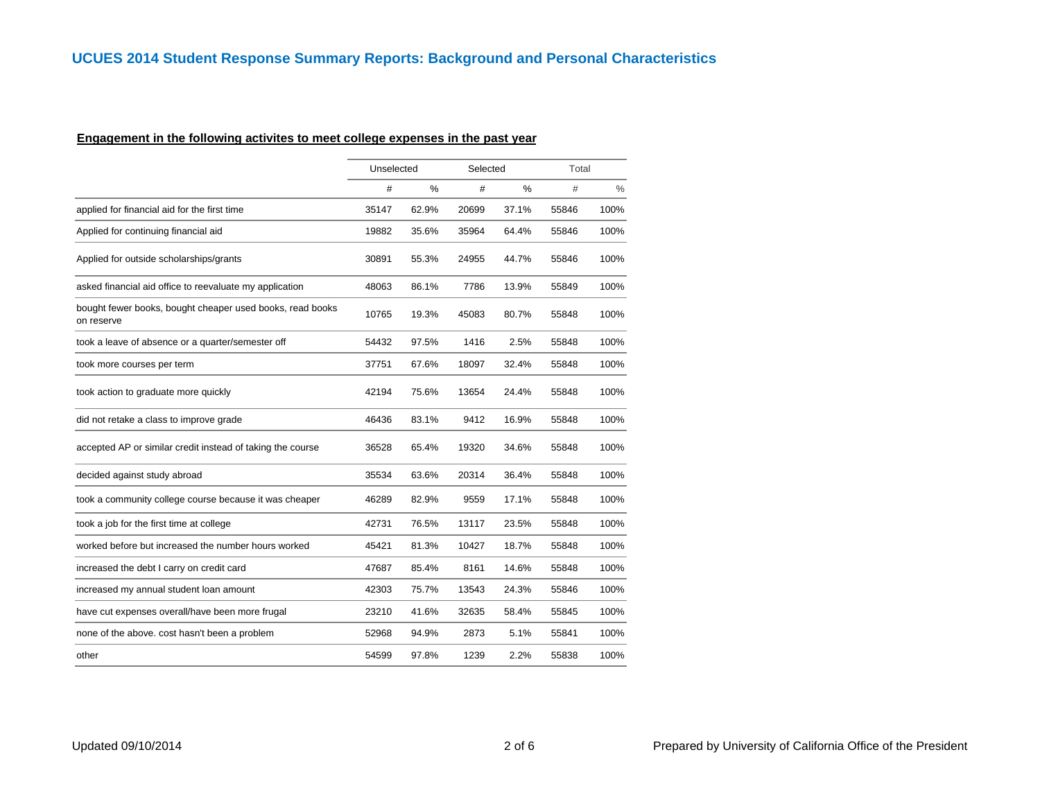## **Engagement in the following activites to meet college expenses in the past year**

|                                                                         | Unselected |       | Selected |       | Total |               |
|-------------------------------------------------------------------------|------------|-------|----------|-------|-------|---------------|
|                                                                         | #          | $\%$  | #        | $\%$  | #     | $\frac{0}{0}$ |
| applied for financial aid for the first time                            | 35147      | 62.9% | 20699    | 37.1% | 55846 | 100%          |
| Applied for continuing financial aid                                    | 19882      | 35.6% | 35964    | 64.4% | 55846 | 100%          |
| Applied for outside scholarships/grants                                 | 30891      | 55.3% | 24955    | 44.7% | 55846 | 100%          |
| asked financial aid office to reevaluate my application                 | 48063      | 86.1% | 7786     | 13.9% | 55849 | 100%          |
| bought fewer books, bought cheaper used books, read books<br>on reserve | 10765      | 19.3% | 45083    | 80.7% | 55848 | 100%          |
| took a leave of absence or a quarter/semester off                       | 54432      | 97.5% | 1416     | 2.5%  | 55848 | 100%          |
| took more courses per term                                              | 37751      | 67.6% | 18097    | 32.4% | 55848 | 100%          |
| took action to graduate more quickly                                    | 42194      | 75.6% | 13654    | 24.4% | 55848 | 100%          |
| did not retake a class to improve grade                                 | 46436      | 83.1% | 9412     | 16.9% | 55848 | 100%          |
| accepted AP or similar credit instead of taking the course              | 36528      | 65.4% | 19320    | 34.6% | 55848 | 100%          |
| decided against study abroad                                            | 35534      | 63.6% | 20314    | 36.4% | 55848 | 100%          |
| took a community college course because it was cheaper                  | 46289      | 82.9% | 9559     | 17.1% | 55848 | 100%          |
| took a job for the first time at college                                | 42731      | 76.5% | 13117    | 23.5% | 55848 | 100%          |
| worked before but increased the number hours worked                     | 45421      | 81.3% | 10427    | 18.7% | 55848 | 100%          |
| increased the debt I carry on credit card                               | 47687      | 85.4% | 8161     | 14.6% | 55848 | 100%          |
| increased my annual student loan amount                                 | 42303      | 75.7% | 13543    | 24.3% | 55846 | 100%          |
| have cut expenses overall/have been more frugal                         | 23210      | 41.6% | 32635    | 58.4% | 55845 | 100%          |
| none of the above. cost hasn't been a problem                           | 52968      | 94.9% | 2873     | 5.1%  | 55841 | 100%          |
| other                                                                   | 54599      | 97.8% | 1239     | 2.2%  | 55838 | 100%          |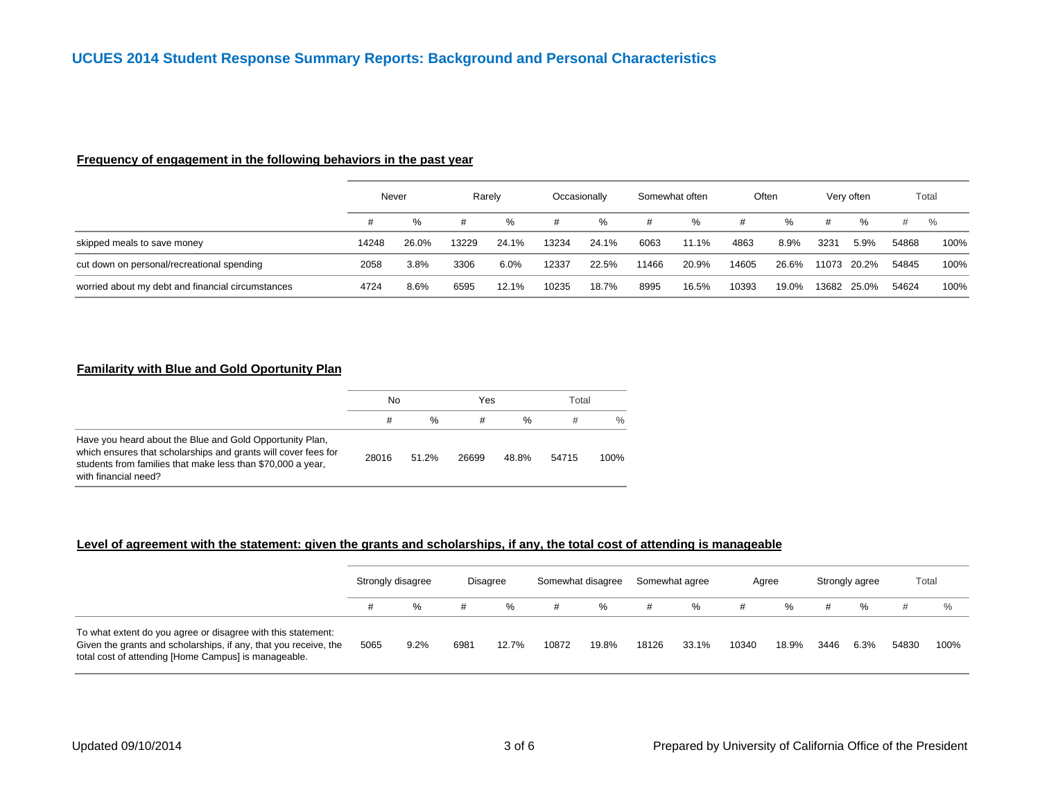#### **Frequency of engagement in the following behaviors in the past year**

|                                                   |       | Never |       | Rarely |       | Occasionally |       | Somewhat often |       | Often |       | Very often |       | Total |
|---------------------------------------------------|-------|-------|-------|--------|-------|--------------|-------|----------------|-------|-------|-------|------------|-------|-------|
|                                                   | #     | $\%$  | #     | %      | #     | %            | #     | %              | #     | $\%$  | #     | %          | #     | $\%$  |
| skipped meals to save money                       | 14248 | 26.0% | 13229 | 24.1%  | 13234 | 24.1%        | 6063  | 11.1%          | 4863  | 8.9%  | 3231  | 5.9%       | 54868 | 100%  |
| cut down on personal/recreational spending        | 2058  | 3.8%  | 3306  | 6.0%   | 12337 | 22.5%        | 11466 | 20.9%          | 14605 | 26.6% | 11073 | 20.2%      | 54845 | 100%  |
| worried about my debt and financial circumstances | 4724  | 8.6%  | 6595  | 12.1%  | 10235 | 18.7%        | 8995  | 16.5%          | 10393 | 19.0% | 13682 | 25.0%      | 54624 | 100%  |

#### **Familarity with Blue and Gold Oportunity Plan**

|                                                                                                                                                                                                                   | No    |               | Yes   |       | Total |      |
|-------------------------------------------------------------------------------------------------------------------------------------------------------------------------------------------------------------------|-------|---------------|-------|-------|-------|------|
|                                                                                                                                                                                                                   | #     | $\frac{0}{6}$ | #     | %     |       | $\%$ |
| Have you heard about the Blue and Gold Opportunity Plan,<br>which ensures that scholarships and grants will cover fees for<br>students from families that make less than \$70,000 a year,<br>with financial need? | 28016 | 51.2%         | 26699 | 48.8% | 54715 | 100% |

## **Level of agreement with the statement: given the grants and scholarships, if any, the total cost of attending is manageable**

|                                                                                                                                                                                          |      | Strongly disagree |      | <b>Disagree</b> |       | Somewhat disagree | Somewhat agree |       |       | Agree |      | Strongly agree | Total |      |
|------------------------------------------------------------------------------------------------------------------------------------------------------------------------------------------|------|-------------------|------|-----------------|-------|-------------------|----------------|-------|-------|-------|------|----------------|-------|------|
|                                                                                                                                                                                          | #    | %                 | #    | %               | #     | %                 | #              | %     | #     | %     | #    | %              |       | $\%$ |
| To what extent do you agree or disagree with this statement:<br>Given the grants and scholarships, if any, that you receive, the<br>total cost of attending [Home Campus] is manageable. | 5065 | 9.2%              | 6981 | 12.7%           | 10872 | 19.8%             | 18126          | 33.1% | 10340 | 18.9% | 3446 | 6.3%           | 54830 | 100% |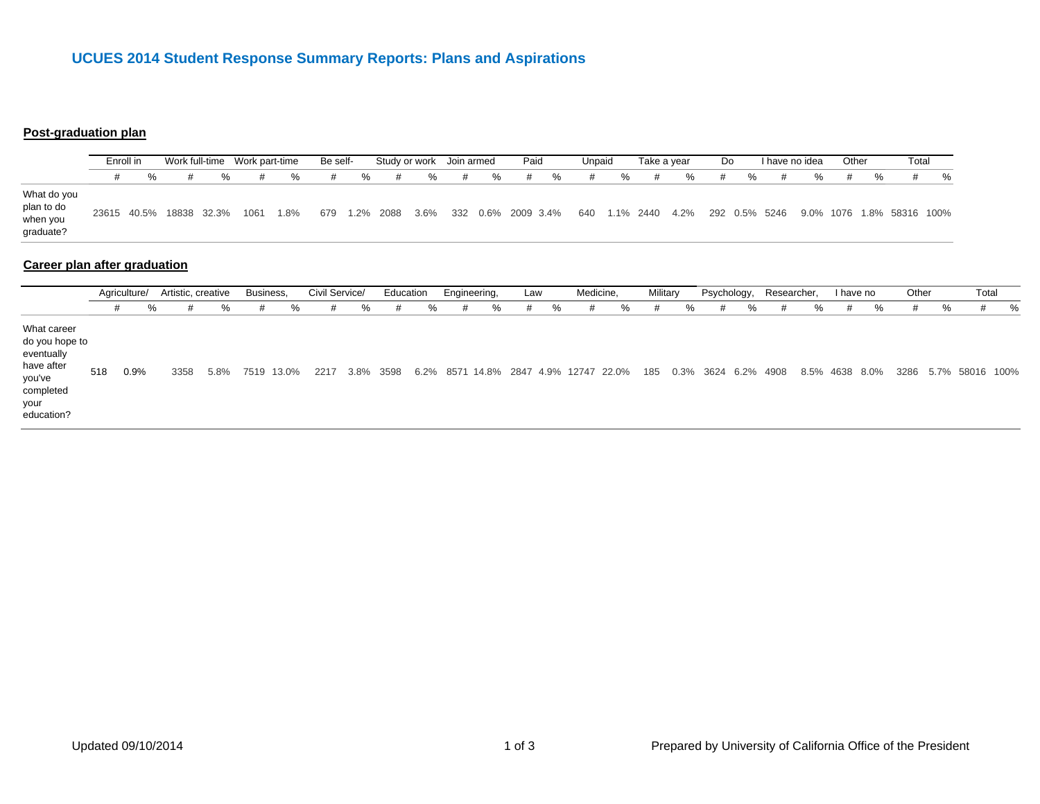# **UCUES 2014 Student Response Summary Reports: Plans and Aspirations**

## **Post-graduation plan**

|                                                    | Enroll in |   |                                                                         |   | Be self- |   |   | Study or work Join armed |   |   | Paid |   | Unpaid |   | Take a vear |   | Do. |   | I have no idea |               | Other | Total                                                                 |  |
|----------------------------------------------------|-----------|---|-------------------------------------------------------------------------|---|----------|---|---|--------------------------|---|---|------|---|--------|---|-------------|---|-----|---|----------------|---------------|-------|-----------------------------------------------------------------------|--|
|                                                    |           | % | %                                                                       | % | #        | % | # | %                        | # | % | #    | % | #      | % | #           | % |     | % |                | $\frac{1}{2}$ |       |                                                                       |  |
| What do you<br>plan to do<br>when you<br>graduate? |           |   | 23615 40.5% 18838 32.3% 1061 1.8% 679 1.2% 2088 3.6% 332 0.6% 2009 3.4% |   |          |   |   |                          |   |   |      |   |        |   |             |   |     |   |                |               |       | 640  1.1%  2440  4.2%  292  0.5%  5246  9.0%  1076  1.8%  58316  100% |  |

## **Career plan after graduation**

|                                                                                                        | Artistic, creative<br>Agriculture/ |      |      | Business, |      | Civil Service/ |      | Education |           | Engineering, |   | Law |   | Medicine, |                                       | Military |     | Psychology, |   | Researcher, |                     | I have no |           | Other         |   | Total |                      |   |
|--------------------------------------------------------------------------------------------------------|------------------------------------|------|------|-----------|------|----------------|------|-----------|-----------|--------------|---|-----|---|-----------|---------------------------------------|----------|-----|-------------|---|-------------|---------------------|-----------|-----------|---------------|---|-------|----------------------|---|
|                                                                                                        | #                                  | %    | #    | %         |      | ℅              | #    | %         | #         | %            | # | %   | # | %         | #                                     | %        | Ħ   | %           | # | %           |                     | %         | #         | $\frac{1}{2}$ | # | %     | #                    | % |
| What career<br>do you hope to<br>eventually<br>have after<br>you've<br>completed<br>your<br>education? | 518                                | 0.9% | 3358 | 5.8%      | 7519 | 13.0%          | 2217 |           | 3.8% 3598 |              |   |     |   |           | 6.2% 8571 14.8% 2847 4.9% 12747 22.0% |          | 185 |             |   |             | 0.3% 3624 6.2% 4908 | 8.5%      | 4638 8.0% |               |   |       | 3286 5.7% 58016 100% |   |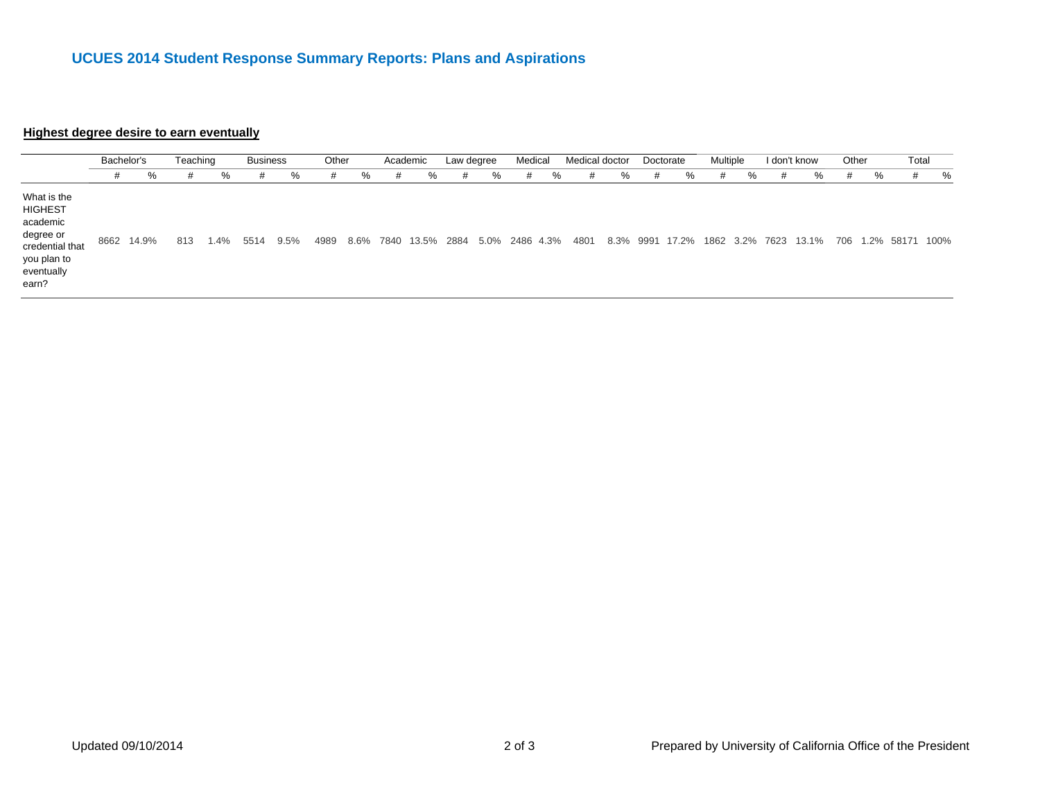# **UCUES 2014 Student Response Summary Reports: Plans and Aspirations**

#### **Highest degree desire to earn eventuall y**

|                                                                                                                 | Bachelor's |       | Teaching |      | <b>Business</b> |      | Other |      | Academic |            | Law degree |   | Medical        |   | Medical doctor |           |   | Doctorate | Multiple |           |   | I don't know                   | Other |   | Total |   |
|-----------------------------------------------------------------------------------------------------------------|------------|-------|----------|------|-----------------|------|-------|------|----------|------------|------------|---|----------------|---|----------------|-----------|---|-----------|----------|-----------|---|--------------------------------|-------|---|-------|---|
|                                                                                                                 | #          | %     | #        | %    | #               | %    |       | %    | #        | %          | #          | ℅ | #              | % | #              | %         | # | ℅         | #        | %         | # | %                              | #     | % | #     | % |
| What is the<br><b>HIGHEST</b><br>academic<br>degree or<br>credential that<br>you plan to<br>eventually<br>earn? | 8662       | 14.9% | 813      | 1.4% | 5514            | 9.5% | 4989  | 8.6% | 7840     | 13.5% 2884 |            |   | 5.0% 2486 4.3% |   | 4801           | 8.3% 9991 |   | 17.2%     |          | 1862 3.2% |   | 7623 13.1% 706 1.2% 58171 100% |       |   |       |   |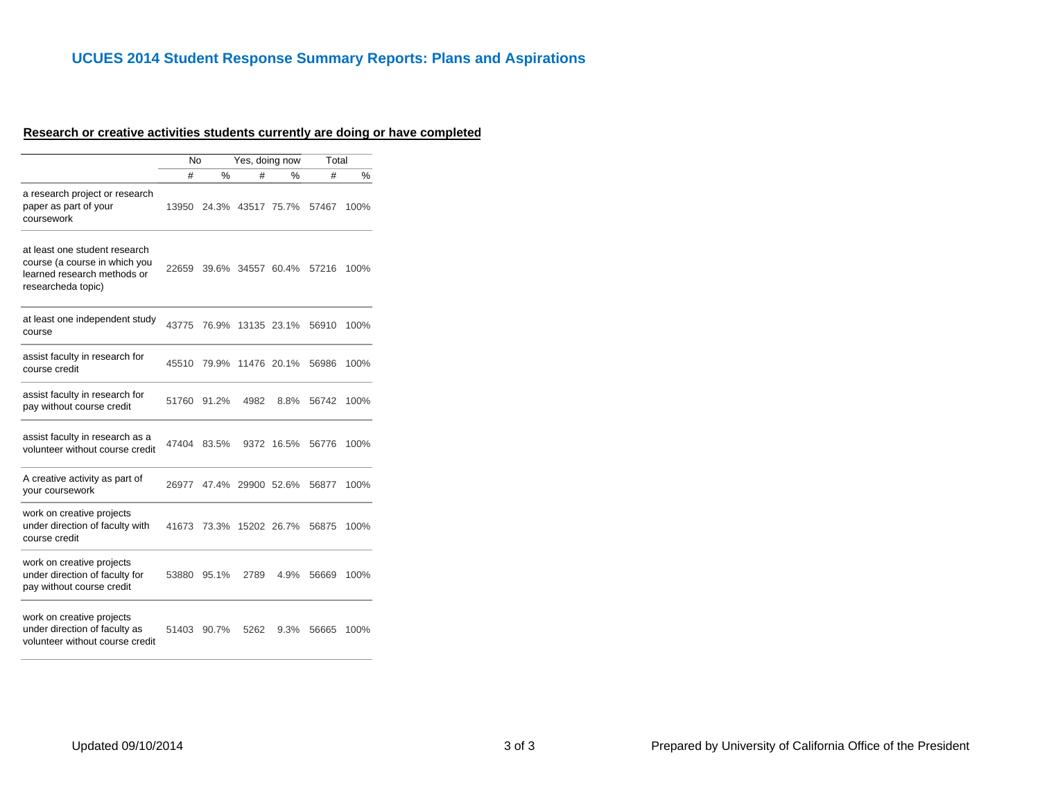#### **Research or creative activities students currently are doing or have complete d**

|                                                                                                                     | No    |       | Yes, doing now    |             | Total |      |
|---------------------------------------------------------------------------------------------------------------------|-------|-------|-------------------|-------------|-------|------|
|                                                                                                                     | #     | %     | #                 | %           | #     | %    |
| a research project or research<br>paper as part of your<br>coursework                                               | 13950 |       | 24.3% 43517       | 75.7%       | 57467 | 100% |
| at least one student research<br>course (a course in which you<br>learned research methods or<br>researcheda topic) | 22659 |       | 39.6% 34557 60.4% |             | 57216 | 100% |
| at least one independent study<br>course                                                                            | 43775 | 76.9% |                   | 13135 23.1% | 56910 | 100% |
| assist faculty in research for<br>course credit                                                                     | 45510 | 79.9% |                   | 11476 20.1% | 56986 | 100% |
| assist faculty in research for<br>pay without course credit                                                         | 51760 | 91.2% | 4982              | 8.8%        | 56742 | 100% |
| assist faculty in research as a<br>volunteer without course credit                                                  | 47404 | 83.5% | 9372              | 16.5%       | 56776 | 100% |
| A creative activity as part of<br>your coursework                                                                   | 26977 | 47.4% | 29900 52.6%       |             | 56877 | 100% |
| work on creative projects<br>under direction of faculty with<br>course credit                                       | 41673 | 73.3% |                   | 15202 26.7% | 56875 | 100% |
| work on creative projects<br>under direction of faculty for<br>pay without course credit                            | 53880 | 95.1% | 2789              | 4.9%        | 56669 | 100% |
| work on creative projects<br>under direction of faculty as                                                          | 51403 | 90.7% | 5262              | 9.3%        | 56665 | 100% |

volunteer without course credit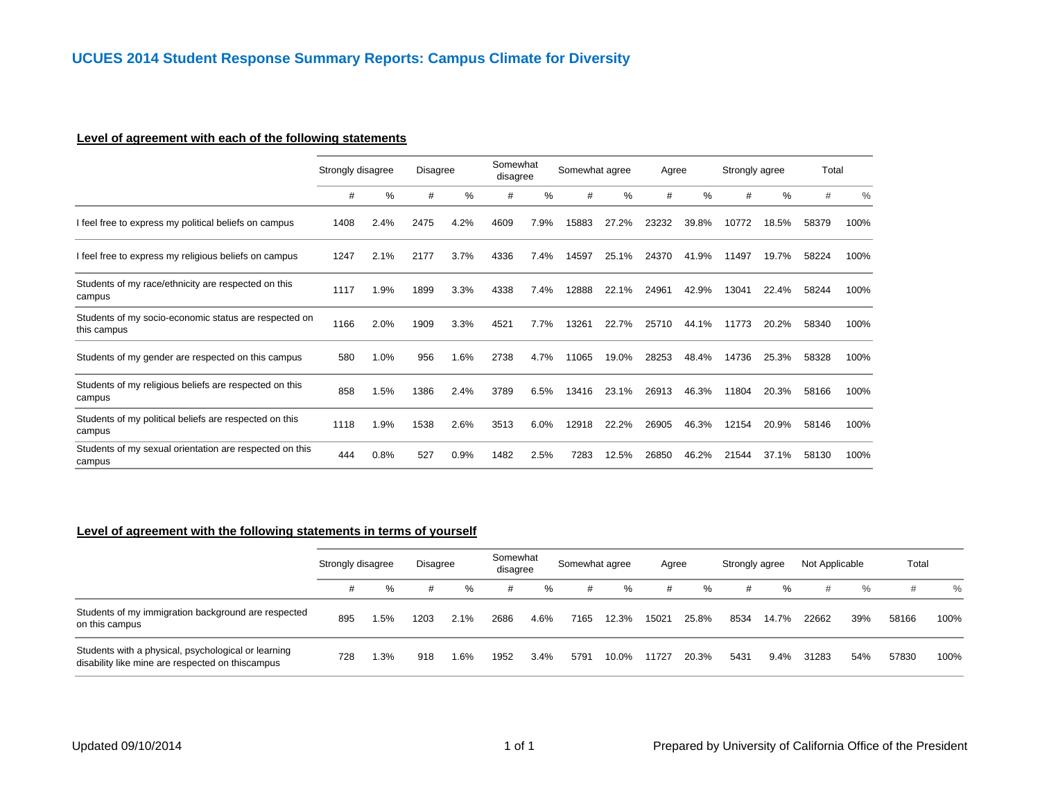## **Level of agreement with each of the following statements**

|                                                                      |      | Strongly disagree |      | <b>Disagree</b> |      | Somewhat<br>disagree |       | Somewhat agree |       | Agree | Strongly agree |       | Total |               |
|----------------------------------------------------------------------|------|-------------------|------|-----------------|------|----------------------|-------|----------------|-------|-------|----------------|-------|-------|---------------|
|                                                                      | #    | %                 | #    | $\%$            | #    | %                    | #     | %              | #     | $\%$  | #              | $\%$  | #     | $\frac{0}{0}$ |
| I feel free to express my political beliefs on campus                | 1408 | 2.4%              | 2475 | 4.2%            | 4609 | 7.9%                 | 15883 | 27.2%          | 23232 | 39.8% | 10772          | 18.5% | 58379 | 100%          |
| I feel free to express my religious beliefs on campus                | 1247 | 2.1%              | 2177 | 3.7%            | 4336 | 7.4%                 | 14597 | 25.1%          | 24370 | 41.9% | 11497          | 19.7% | 58224 | 100%          |
| Students of my race/ethnicity are respected on this<br>campus        | 1117 | 1.9%              | 1899 | 3.3%            | 4338 | 7.4%                 | 12888 | 22.1%          | 24961 | 42.9% | 13041          | 22.4% | 58244 | 100%          |
| Students of my socio-economic status are respected on<br>this campus | 1166 | 2.0%              | 1909 | 3.3%            | 4521 | 7.7%                 | 13261 | 22.7%          | 25710 | 44.1% | 11773          | 20.2% | 58340 | 100%          |
| Students of my gender are respected on this campus                   | 580  | 1.0%              | 956  | 1.6%            | 2738 | 4.7%                 | 11065 | 19.0%          | 28253 | 48.4% | 14736          | 25.3% | 58328 | 100%          |
| Students of my religious beliefs are respected on this<br>campus     | 858  | 1.5%              | 1386 | 2.4%            | 3789 | 6.5%                 | 13416 | 23.1%          | 26913 | 46.3% | 11804          | 20.3% | 58166 | 100%          |
| Students of my political beliefs are respected on this<br>campus     | 1118 | 1.9%              | 1538 | 2.6%            | 3513 | 6.0%                 | 12918 | 22.2%          | 26905 | 46.3% | 12154          | 20.9% | 58146 | 100%          |
| Students of my sexual orientation are respected on this<br>campus    | 444  | 0.8%              | 527  | 0.9%            | 1482 | 2.5%                 | 7283  | 12.5%          | 26850 | 46.2% | 21544          | 37.1% | 58130 | 100%          |

## **Level of agreement with the following statements in terms of yourself**

|                                                                                                         |     | Strongly disagree |      | <b>Disagree</b> |      | Somewhat<br>disagree | Somewhat agree |       | Agree |       | Strongly agree |       | Not Applicable |     | Total |      |
|---------------------------------------------------------------------------------------------------------|-----|-------------------|------|-----------------|------|----------------------|----------------|-------|-------|-------|----------------|-------|----------------|-----|-------|------|
|                                                                                                         | #   | %                 |      | %               | #    | %                    | #              | %     | #     | ℅     | #              | %     | #              | %   | #     | $\%$ |
| Students of my immigration background are respected<br>on this campus                                   | 895 | 1.5%              | 1203 | 2.1%            | 2686 | 4.6%                 | 7165           | 12.3% | 15021 | 25.8% | 8534           | 14.7% | 22662          | 39% | 58166 | 100% |
| Students with a physical, psychological or learning<br>disability like mine are respected on thiscampus | 728 | 1.3%              | 918  | 1.6%            | 1952 | 3.4%                 | 5791           | 10.0% | 11727 | 20.3% | 5431           | 9.4%  | 31283          | 54% | 57830 | 100% |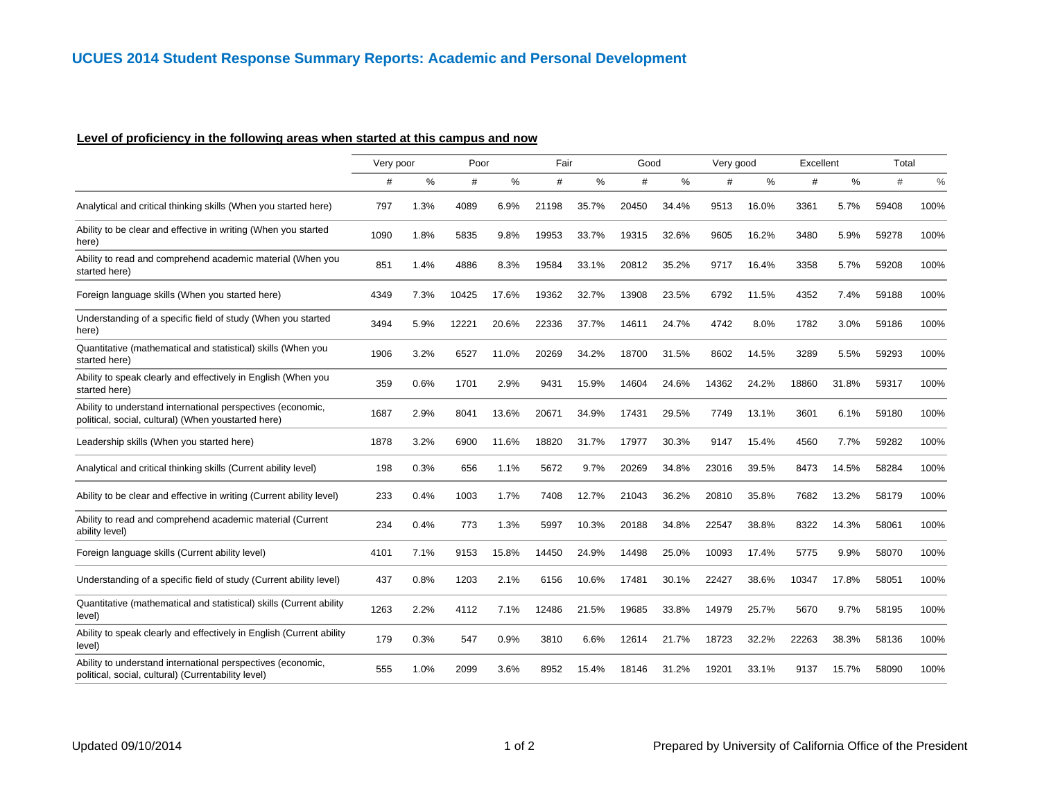# **Level of proficiency in the following areas when started at this campus and now**

|                                                                                                                    | Very poor |      | Poor  |       | Fair  |       | Good  |       | Very good |       | Excellent |       | Total |      |
|--------------------------------------------------------------------------------------------------------------------|-----------|------|-------|-------|-------|-------|-------|-------|-----------|-------|-----------|-------|-------|------|
|                                                                                                                    | #         | %    | #     | %     | #     | ℅     | #     | %     | #         | ℅     | #         | ℅     | #     | $\%$ |
| Analytical and critical thinking skills (When you started here)                                                    | 797       | 1.3% | 4089  | 6.9%  | 21198 | 35.7% | 20450 | 34.4% | 9513      | 16.0% | 3361      | 5.7%  | 59408 | 100% |
| Ability to be clear and effective in writing (When you started<br>here)                                            | 1090      | 1.8% | 5835  | 9.8%  | 19953 | 33.7% | 19315 | 32.6% | 9605      | 16.2% | 3480      | 5.9%  | 59278 | 100% |
| Ability to read and comprehend academic material (When you<br>started here)                                        | 851       | 1.4% | 4886  | 8.3%  | 19584 | 33.1% | 20812 | 35.2% | 9717      | 16.4% | 3358      | 5.7%  | 59208 | 100% |
| Foreign language skills (When you started here)                                                                    | 4349      | 7.3% | 10425 | 17.6% | 19362 | 32.7% | 13908 | 23.5% | 6792      | 11.5% | 4352      | 7.4%  | 59188 | 100% |
| Understanding of a specific field of study (When you started<br>here)                                              | 3494      | 5.9% | 12221 | 20.6% | 22336 | 37.7% | 14611 | 24.7% | 4742      | 8.0%  | 1782      | 3.0%  | 59186 | 100% |
| Quantitative (mathematical and statistical) skills (When you<br>started here)                                      | 1906      | 3.2% | 6527  | 11.0% | 20269 | 34.2% | 18700 | 31.5% | 8602      | 14.5% | 3289      | 5.5%  | 59293 | 100% |
| Ability to speak clearly and effectively in English (When you<br>started here)                                     | 359       | 0.6% | 1701  | 2.9%  | 9431  | 15.9% | 14604 | 24.6% | 14362     | 24.2% | 18860     | 31.8% | 59317 | 100% |
| Ability to understand international perspectives (economic,<br>political, social, cultural) (When youstarted here) | 1687      | 2.9% | 8041  | 13.6% | 20671 | 34.9% | 17431 | 29.5% | 7749      | 13.1% | 3601      | 6.1%  | 59180 | 100% |
| Leadership skills (When you started here)                                                                          | 1878      | 3.2% | 6900  | 11.6% | 18820 | 31.7% | 17977 | 30.3% | 9147      | 15.4% | 4560      | 7.7%  | 59282 | 100% |
| Analytical and critical thinking skills (Current ability level)                                                    | 198       | 0.3% | 656   | 1.1%  | 5672  | 9.7%  | 20269 | 34.8% | 23016     | 39.5% | 8473      | 14.5% | 58284 | 100% |
| Ability to be clear and effective in writing (Current ability level)                                               | 233       | 0.4% | 1003  | 1.7%  | 7408  | 12.7% | 21043 | 36.2% | 20810     | 35.8% | 7682      | 13.2% | 58179 | 100% |
| Ability to read and comprehend academic material (Current<br>ability level)                                        | 234       | 0.4% | 773   | 1.3%  | 5997  | 10.3% | 20188 | 34.8% | 22547     | 38.8% | 8322      | 14.3% | 58061 | 100% |
| Foreign language skills (Current ability level)                                                                    | 4101      | 7.1% | 9153  | 15.8% | 14450 | 24.9% | 14498 | 25.0% | 10093     | 17.4% | 5775      | 9.9%  | 58070 | 100% |
| Understanding of a specific field of study (Current ability level)                                                 | 437       | 0.8% | 1203  | 2.1%  | 6156  | 10.6% | 17481 | 30.1% | 22427     | 38.6% | 10347     | 17.8% | 58051 | 100% |
| Quantitative (mathematical and statistical) skills (Current ability<br>level)                                      | 1263      | 2.2% | 4112  | 7.1%  | 12486 | 21.5% | 19685 | 33.8% | 14979     | 25.7% | 5670      | 9.7%  | 58195 | 100% |
| Ability to speak clearly and effectively in English (Current ability<br>level)                                     | 179       | 0.3% | 547   | 0.9%  | 3810  | 6.6%  | 12614 | 21.7% | 18723     | 32.2% | 22263     | 38.3% | 58136 | 100% |
| Ability to understand international perspectives (economic,<br>political, social, cultural) (Currentability level) | 555       | 1.0% | 2099  | 3.6%  | 8952  | 15.4% | 18146 | 31.2% | 19201     | 33.1% | 9137      | 15.7% | 58090 | 100% |